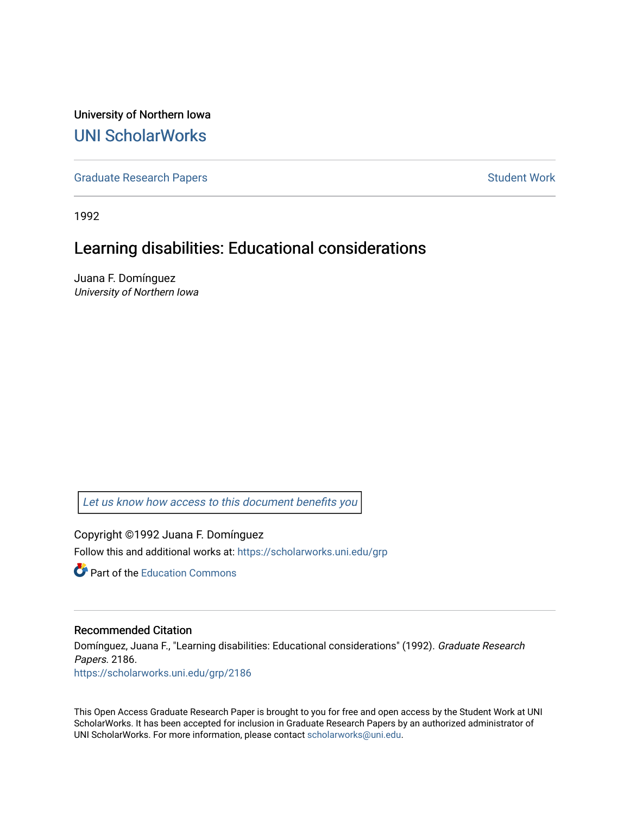University of Northern Iowa [UNI ScholarWorks](https://scholarworks.uni.edu/) 

[Graduate Research Papers](https://scholarworks.uni.edu/grp) **Student Work** Student Work

1992

## Learning disabilities: Educational considerations

Juana F. Domínguez University of Northern Iowa

[Let us know how access to this document benefits you](https://scholarworks.uni.edu/feedback_form.html) 

Copyright ©1992 Juana F. Domínguez Follow this and additional works at: [https://scholarworks.uni.edu/grp](https://scholarworks.uni.edu/grp?utm_source=scholarworks.uni.edu%2Fgrp%2F2186&utm_medium=PDF&utm_campaign=PDFCoverPages) 

**C** Part of the [Education Commons](http://network.bepress.com/hgg/discipline/784?utm_source=scholarworks.uni.edu%2Fgrp%2F2186&utm_medium=PDF&utm_campaign=PDFCoverPages)

#### Recommended Citation

Domínguez, Juana F., "Learning disabilities: Educational considerations" (1992). Graduate Research Papers. 2186. [https://scholarworks.uni.edu/grp/2186](https://scholarworks.uni.edu/grp/2186?utm_source=scholarworks.uni.edu%2Fgrp%2F2186&utm_medium=PDF&utm_campaign=PDFCoverPages) 

This Open Access Graduate Research Paper is brought to you for free and open access by the Student Work at UNI ScholarWorks. It has been accepted for inclusion in Graduate Research Papers by an authorized administrator of UNI ScholarWorks. For more information, please contact [scholarworks@uni.edu.](mailto:scholarworks@uni.edu)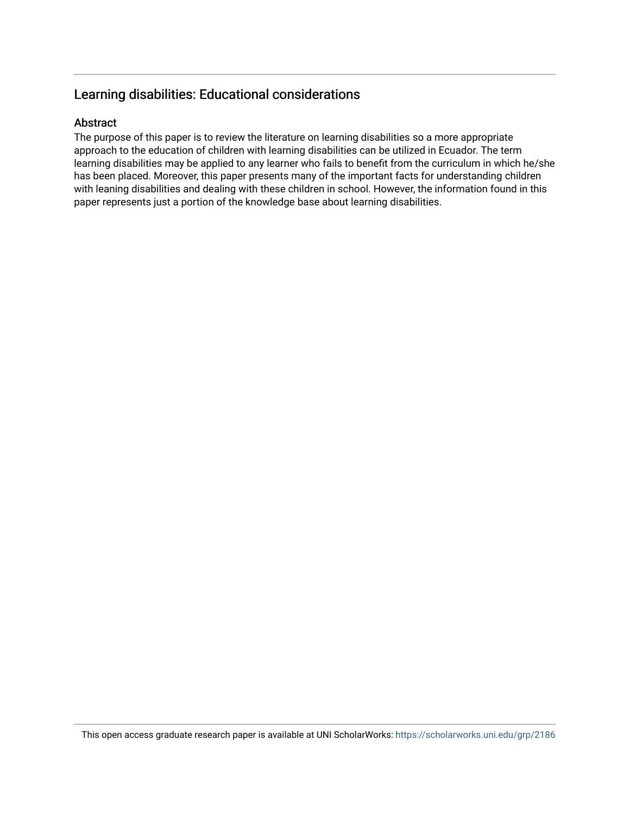## Learning disabilities: Educational considerations

#### Abstract

The purpose of this paper is to review the literature on learning disabilities so a more appropriate approach to the education of children with learning disabilities can be utilized in Ecuador. The term learning disabilities may be applied to any learner who fails to benefit from the curriculum in which he/she has been placed. Moreover, this paper presents many of the important facts for understanding children with leaning disabilities and dealing with these children in school. However, the information found in this paper represents just a portion of the knowledge base about learning disabilities.

This open access graduate research paper is available at UNI ScholarWorks: <https://scholarworks.uni.edu/grp/2186>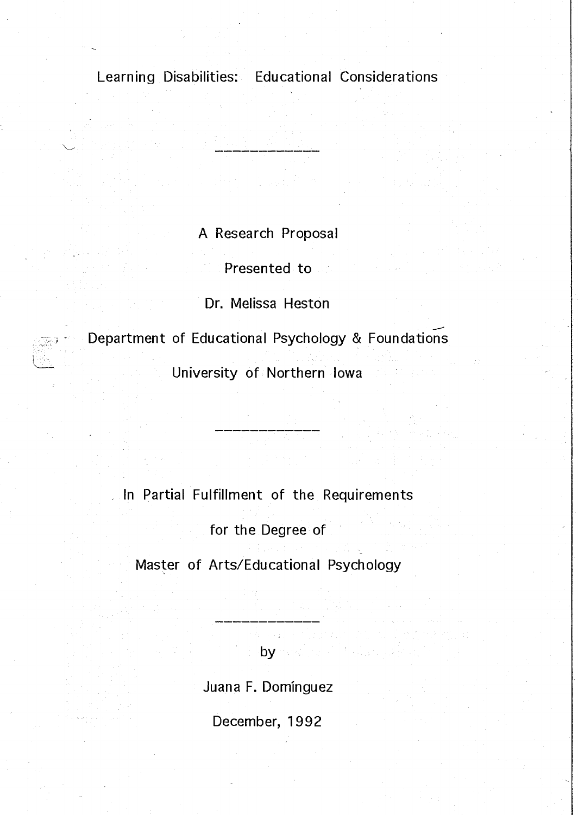Learning Disabilities: Educational Considerations

A Research Proposal

Presented to

Dr. Melissa Heston

Department of Educational Psychology & Foundations

L

University of Northern Iowa

. In Partial Fulfillment of the Requirements

for the Degree of

Master of Arts/Educational Psychology

by and

Juana F. Dominguez

December, 1992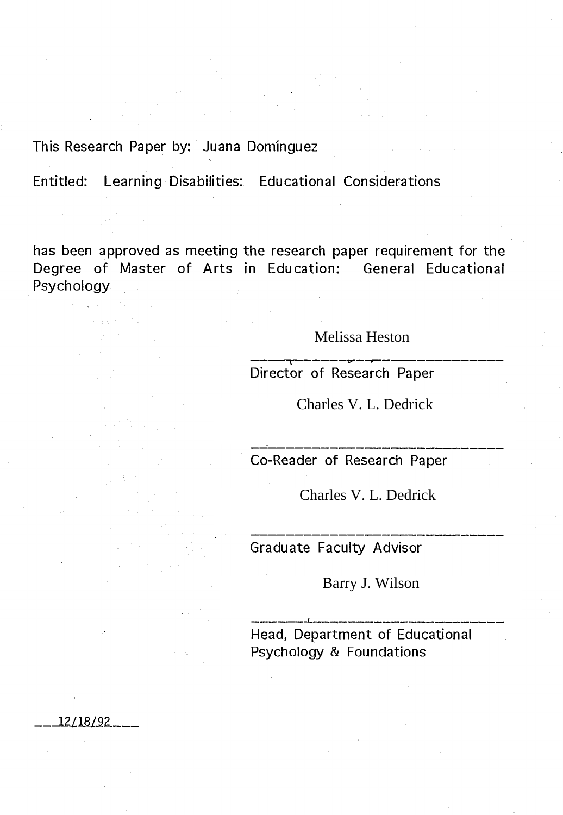This Research Paper by: Juana Dominguez

\_\_ -121.181..92. \_\_ \_

Entitled: Learning Disabilities: Educational Considerations

has been approved as meeting the research paper requirement for the Degree of Master of Arts in Edu cation: General Educational Psychology

Melissa Heston

Director of Research Paper

Charles V. L. Dedrick

Co-Reader of Research Paper

Charles V. L. Dedrick

Graduate Faculty Advisor

Barry J. Wilson

Head, Department of Educational Psychology & Foundations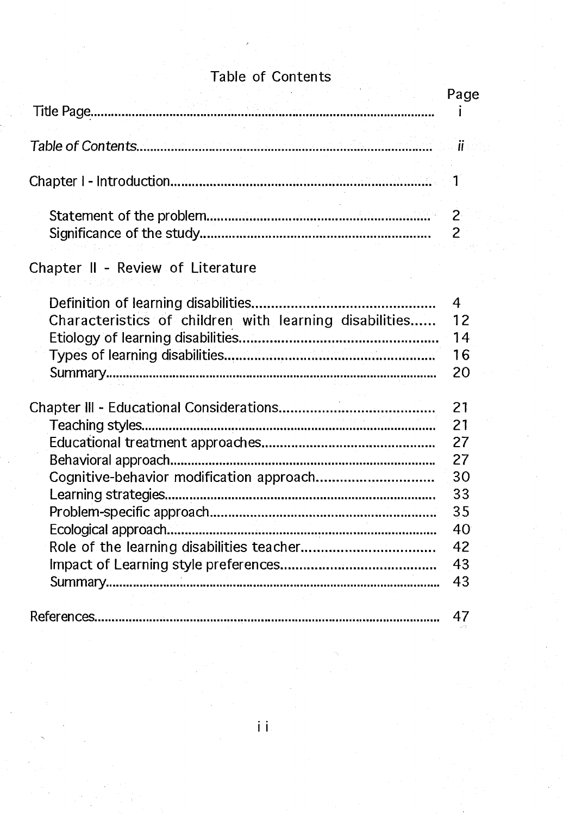## Table of Contents

|                                                                                               | Page                                                           |
|-----------------------------------------------------------------------------------------------|----------------------------------------------------------------|
|                                                                                               | $\blacksquare$ ii                                              |
|                                                                                               | $\mathbf{1}^{\mathbf{1}}$                                      |
|                                                                                               | 2 <sup>1</sup><br>2                                            |
| Chapter II - Review of Literature                                                             |                                                                |
| Definition of learning disabilities<br>Characteristics of children with learning disabilities | $\overline{4}$<br>12<br>14<br>16<br>20                         |
| Cognitive-behavior modification approach                                                      | 21<br>21<br>27<br>27<br>30<br>33<br>35<br>40<br>42<br>43<br>43 |
|                                                                                               | 47                                                             |

 $\mathbf{ii}$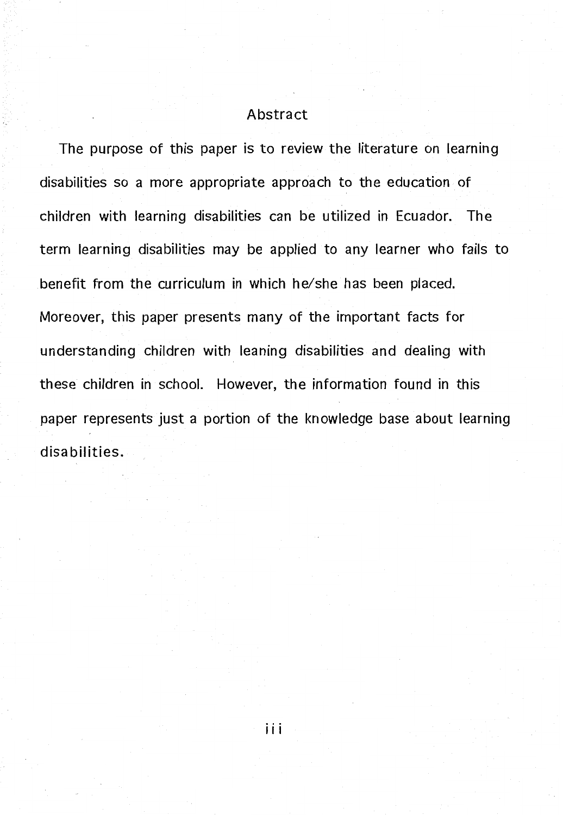#### Abstract

The purpose of this paper is to review the literature on learning disabilities so a more appropriate approach to the education of children with learning disabilities can be utilized in Ecuador. The term learning disabilities may be applied to any learner who fails to benefit from the curriculum in which he/she has been placed. Moreover, this paper presents many of the important facts for understanding children with leaning disabilities and dealing with these children in school. However, the information found in this paper represents just a portion of the knowledge base about learning disabilities.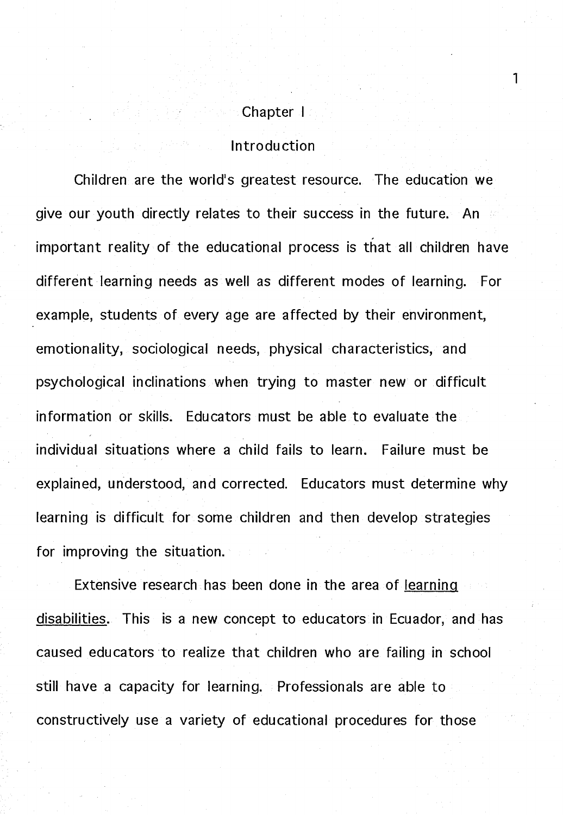# Chapter I

1

## Introduction

Children are the world's greatest resource. The education we give our youth directly relates to their success in the future. An a important reality of the educational process is that all children have different learning needs as well as different modes of learning. For example, students of every age are affected by their environment, emotionality, sociological needs, physical characteristics, and psychological inclinations when trying to master new or difficult information or skills. Educators must be able to evaluate the individual situations where a child fails to learn. Failure must be explained, understood, and corrected. Educators must determine why learning is difficult for some children and then develop strategies for improving the situation.

Extensive research has been done in the area of learning disabilities. This is a new concept to educators in Ecuador, and has caused educators to realize that children who are failing in school still have a capacity for learning. Professionals are able to constructively use a variety of educational procedures for those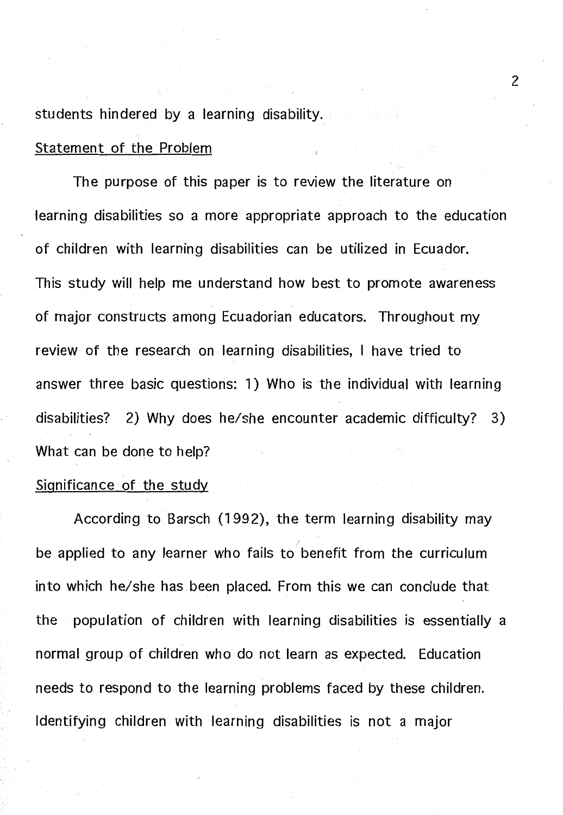students hindered by a learning disability.

#### Statement of the Problem

The purpose of this paper is to review the literature on learning disabilities so a more appropriate approach to the education of children with learning disabilities can be utilized in Ecuador. This study will help me understand how best to promote awareness of major constructs among Ecuadorian educators. Throughout my review of the research on learning disabilities, I have tried to answer three basic questions: 1) Who is the individual with learning disabilities? 2) Why does he/she encounter academic difficulty? 3) What can be done to help?

#### Significance of the study

According to Barsch (1992), the term learning disability may be applied to any learner who fails to benefit from the curriculum into which he/she has been placed. From this we can conclude that the population of children with learning disabilities is essentially a normal group of children who do not learn as expected. Education needs to respond to the learning problems faced by these children. Identifying children with learning disabilities is not a major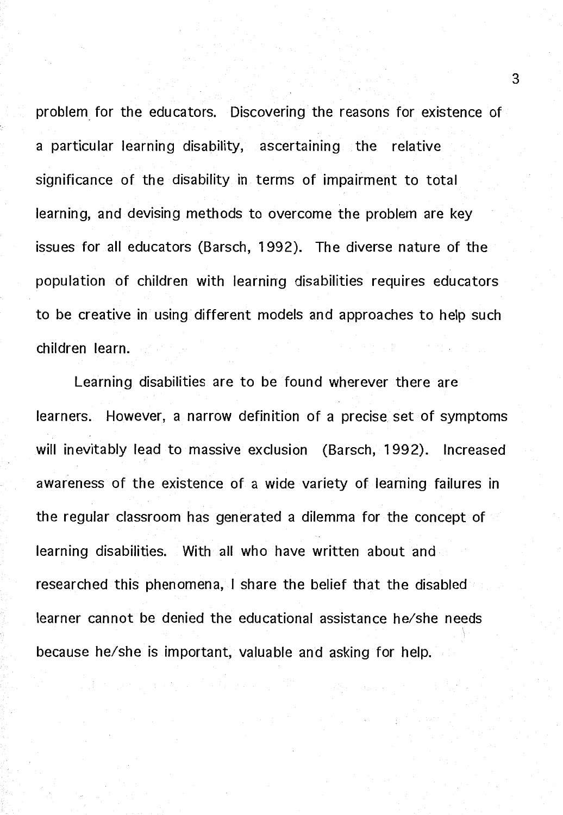problem for the educators. Discovering the reasons for existence of a particular learning disability, ascertaining the relative significance of the disability in terms of impairment to total learning, and devising methods to overcome the problem are key issues for all educators (Barsch, 1992). The diverse nature of the population of children with learning disabilities requires educators to be creative in using different models and approaches to help such children learn.

Learning disabilities are to be found wherever there are learners. However, a narrow definition of a precise set of symptoms will inevitably lead to massive exclusion (Barsch, 1992). Increased awareness of the existence of a wide variety of learning failures in the regular classroom has generated a dilemma for the concept of learning disabilities. With all who have written about and researched this phenomena, I share the belief that the disabled learner cannot be denied the educational assistance he/she needs because he/she is important, valuable and asking for help.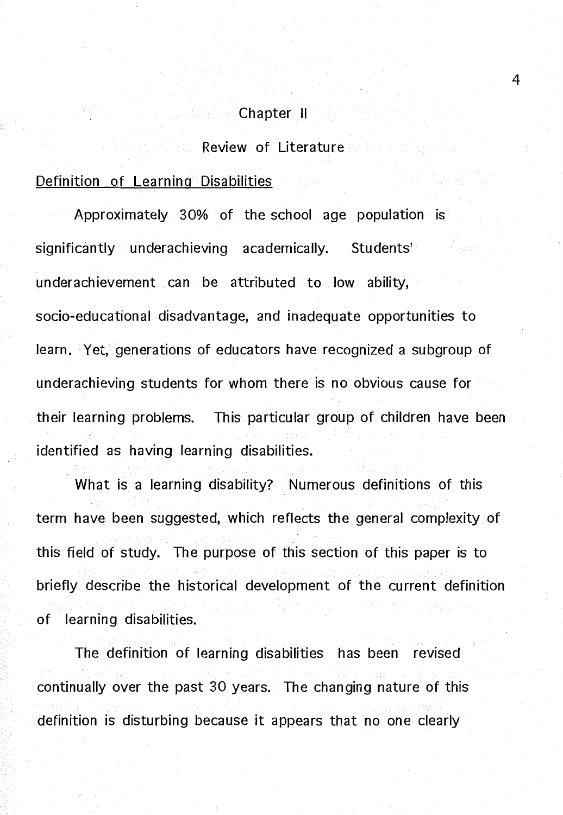#### Chapter II

Review of Literature

#### Definition of Learning Disabilities

Approximately 30% of the school age population is significantly underachieving academically. Students' underachievement can be attributed to low ability, socio-educational disadvantage, and inadequate opportunities to learn. Yet, generations of educators have recognized a subgroup of underachieving students for whom there is no obvious cause for their learning problems. This particular group of children have been identified as having learning disabilities.

What is a learning disability? Numerous definitions of this term have been suggested, which reflects the general complexity of this field of study. The purpose of this section of this paper is to briefly describe the historical development of the current definition of learning disabilities.

The definition of learning disabilities has been revised continually over the past 30 years. The changing nature of this definition is disturbing because it appears that no one clearly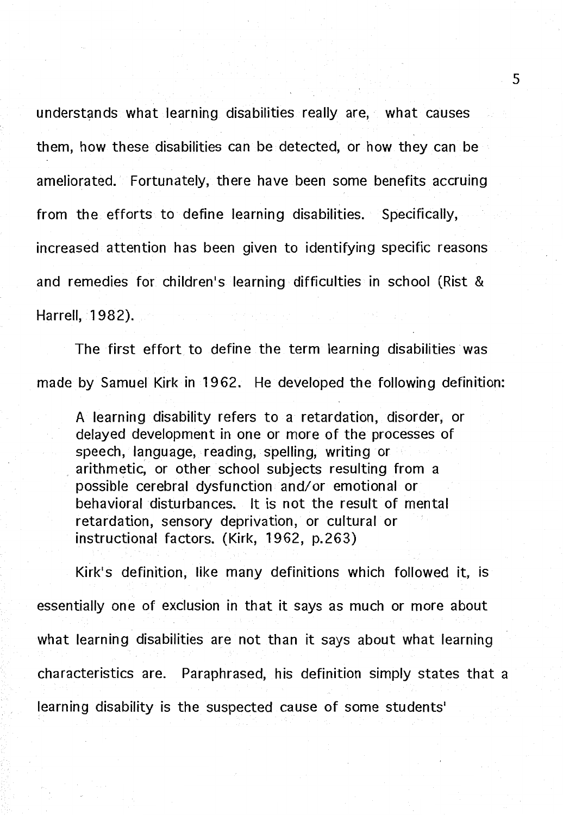understands what learning disabilities really are, what causes them, how these disabilities can be detected, or how they can be ameliorated. Fortunately, there have been some benefits accruing from the efforts to define learning disabilities. Specifically, increased attention has been given to identifying specific reasons and remedies for children's learning difficulties in school (Rist & Harrell, 1982).

The first effort to define the term learning disabilities was made by Samuel Kirk in 1962. He developed the following definition:

A learning disability refers to a retardation, disorder, or delayed development in one or more of the processes of speech, language, reading, spelling, writing or . arithmetic, or other school subjects resulting from a possible cerebral dysfunction and/or emotional or behavioral disturbances. It is not the result of mental retardation, sensory deprivation, or cultural or instructional factors. (Kirk, 1962, p.263)

Kirk's definition, like many definitions which followed it, is essentially one of exclusion in that it says as much or more about what learning disabilities are not than it says about what learning characteristics are. Paraphrased, his definition simply states that a learning disability is the suspected cause of some students'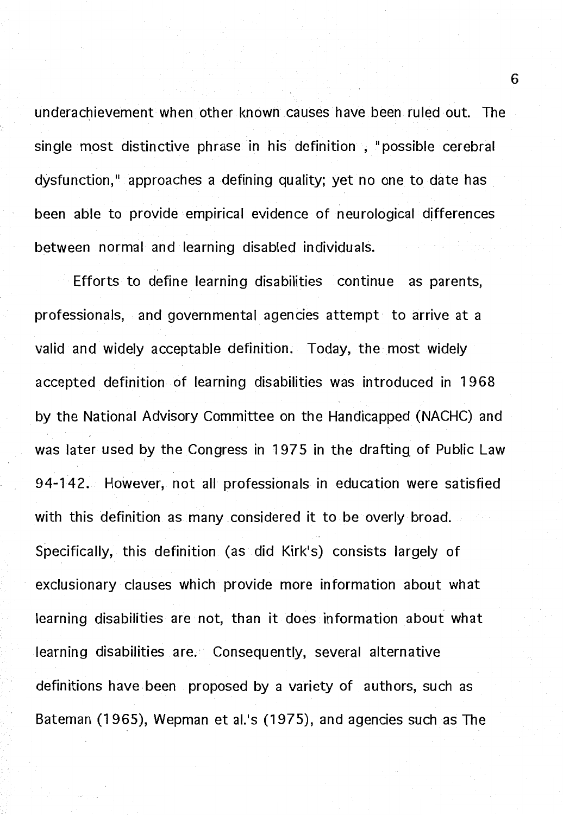underachievement when other known causes have been ruled out. The single most distinctive phrase in his definition, "possible cerebral dysfunction," approaches a defining quality; yet no one to date has been able to provide empirical evidence of neurological differences between normal and learning disabled individuals.

Efforts to define learning disabilities continue as parents, professionals, and governmental agencies attempt to arrive at a valid and widely acceptable definition. Today, the most widely accepted definition of learning disabilities was introduced in 1968 by the National Advisory Committee on the Handicapped (NACHC) and was later used by the Congress in 1975 in the drafting of Public Law 94-142. However, not all professionals in education were satisfied with this definition as many considered it to be overly broad. Specifically, this definition (as did Kirk's) consists largely of exclusionary clauses which provide more information about what learning disabilities are not, than it does information about what learning disabilities are. Consequently, several alternative definitions have been proposed by a variety of authors, such as Bateman (1965), Wepman et al.'s (1975), and agencies such as The

6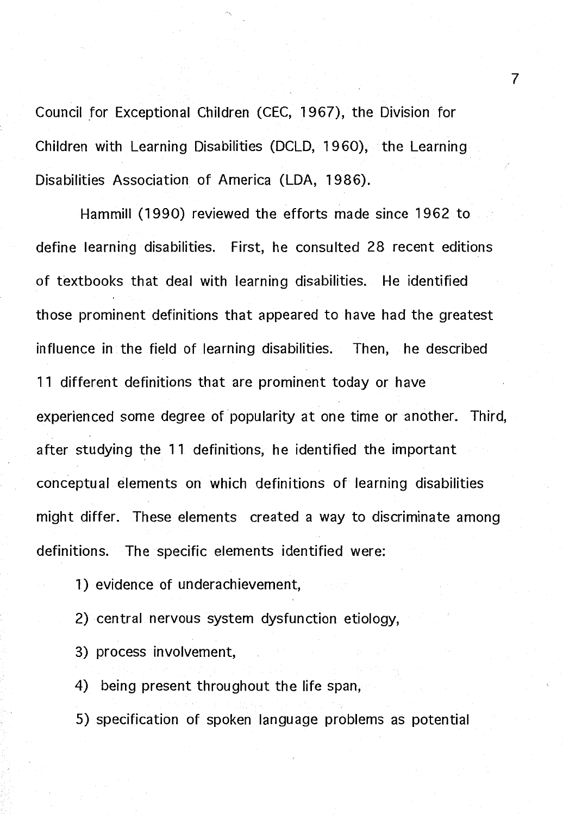Council for Exceptional Children (CEC, 1967), the Division for Children with Learning Disabilities (DCLD, 1960), the Learning Disabilities Association of America (LOA, 1986).

Hammill (1990) reviewed the efforts made since 1962 to define learning disabilities. First, he consulted 28 recent editions of textbooks that deal with learning disabilities. He identified those prominent definitions that appeared to have had the greatest influence in the field of learning disabilities. Then, he described 11 different definitions that are prominent today or have experienced some degree of popularity at one time or another. Third, after studying the 11 definitions, he identified the important conceptual elements on which definitions of learning disabilities might differ. These elements created a way to discriminate among definitions. The specific elements identified were:

1) evidence of underachievement,

2) central nervous system dysfunction etiology,

3) process involvement,

4) being present throughout the life span,

5) specification of spoken language problems as potential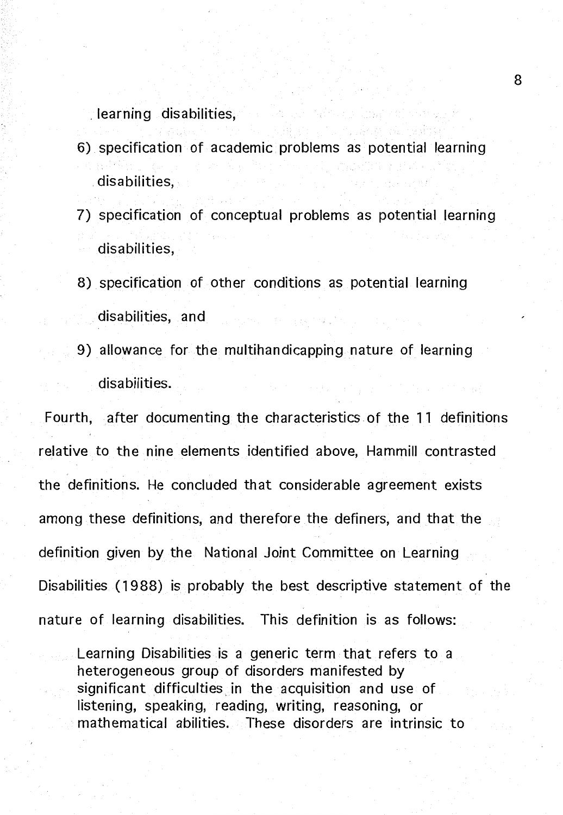\_ learning disabilities,

- 6) specification of academic problems as potential learning disabilities,
- 7) specification of conceptual problems as potential learning disabilities,
- 8) specification of other conditions as potential learning disabilities, and
- 9) allowance for the multihandicapping nature of learning disabilities.

Fourth, after documenting the characteristics. of the 11 definitions relative to the nine elements identified above, Hammill contrasted the definitions. He concluded that considerable agreement exists among these definitions, and therefore the definers, and that the definition given by the National Joint Committee on Learning Disabilities (1988) is probably the best descriptive statement of the nature of learning disabilities. This definition is as follows:

Learning Disabilities is a generic term that refers to a heterogeneous group of disorders manifested by significant difficulties in the acquisition and use of listening, speaking, reading, writing, reasoning, or mathematical abilities. These disorders are intrinsic to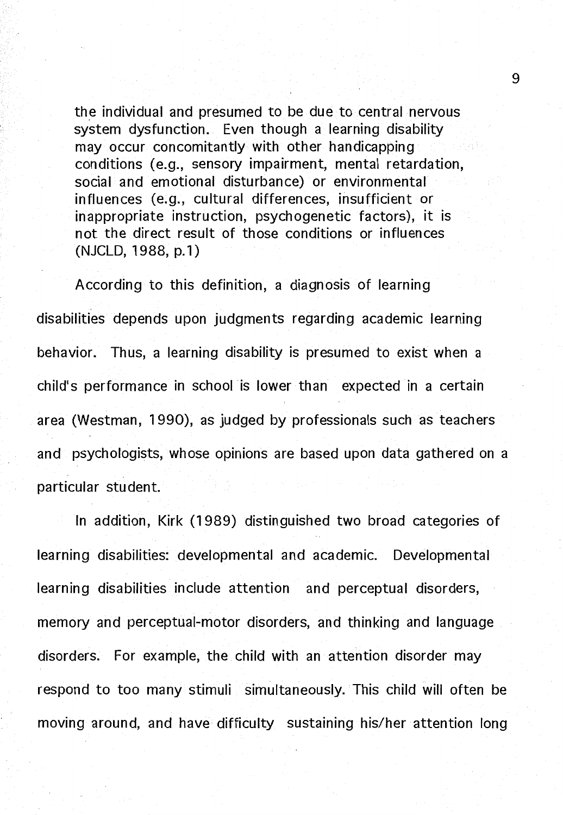the individual and presumed to be due to central nervous system dysfunction. Even though a learning disability may occur concomitantly with other handicapping conditions (e.g., sensory impairment, mental retardation, social and emotional disturbance) or environmental influences (e.g., cultural differences, insufficient or inappropriate instruction, psychogenetic factors), it is not the direct result of those conditions or influences (NJCLD, 1988, p.1)

According to this definition, a diagnosis of learning disabilities depends upon judgments regarding academic learning behavior. Thus, a learning disability is presumed to exist when a child's performance in school is lower than expected in a certain area (Westman, 1990), as judged by professionals such as teachers and psychologists, whose opinions are based upon data gathered on a particular student.

In addition, Kirk (1989) distinguished two broad categories of learning disabilities: developmental and academic. Developmental learning disabilities include attention and perceptual disorders, memory and perceptual-motor disorders, and thinking and language disorders. For example, the child with an attention disorder may respond to too many stimuli simultaneously. This child will often be moving around, and have difficulty sustaining his/her attention long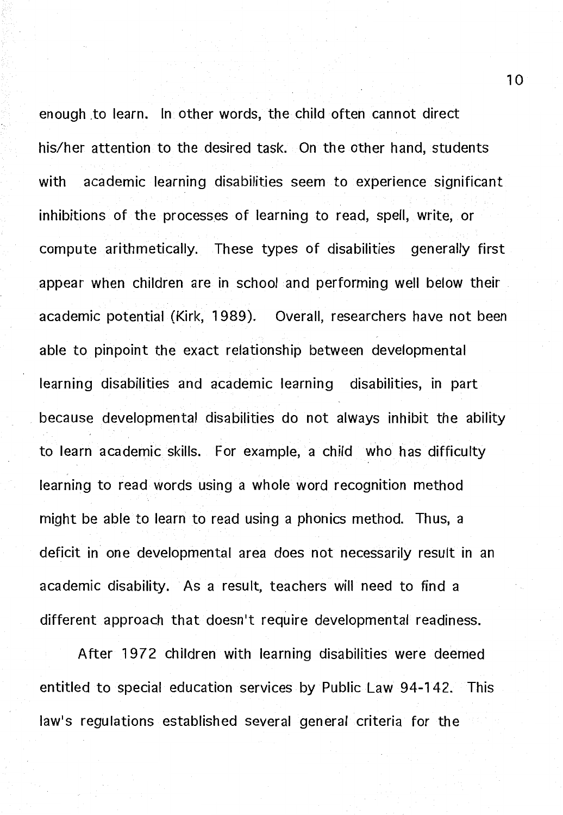enough to learn. In other words, the child often cannot direct his/her attention to the desired task. On the other hand, students with academic learning disabilities seem to experience significant inhibitions of the processes of learning to read, spell, write, or compute arithmetically. These types of disabilities generally first appear when children are in school and performing well below their academic potential (Kirk, 1989). Overall, researchers have not been able to pinpoint the exact relationship between developmental learning disabilities and academic learning disabilities, in part because developmental disabilities do not always inhibit the ability to learn academic skills. For example, a child who has difficulty learning to read words using a whole word recognition method might be able to learn to read using a phonics method. Thus, a deficit in one developmental area does not necessarily result in an academic disability. As a result, teachers will need to find a different approach that doesn't require developmental readiness.

After 1972 children with learning disabilities were deemed entitled to special education services by Public Law 94-142. This law's regulations established several general criteria for the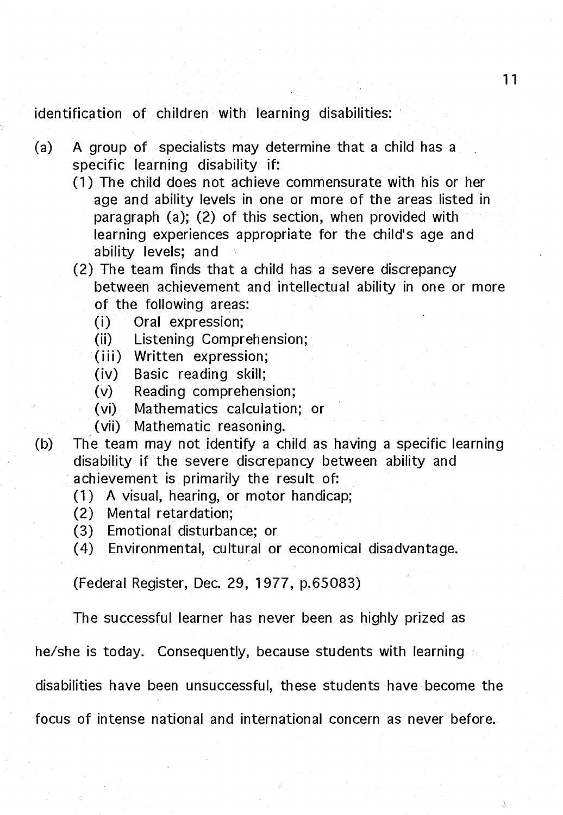identification of children with learning disabilities:

- (a) A group of specialists may determine that a child has a specific learning disability if:
	- (1) The child does not achieve commensurate with his or her age and ability levels in one or more of the areas listed in paragraph (a); (2) of this section, when provided with learning experiences appropriate for the child's age and ability levels; and
	- (2) The team finds that a child has a severe discrepancy between achievement and intellectual ability in one or more of the following areas:
		- (i) Oral expression;
		- (ii) Listening Comprehension;
		- (iii) Written expression;
		- **(iv)** Basic reading skill;
		- (v) Reading comprehension;
		- (vi) Mathematics calculation; or
		- **(vii)** Mathematic reasoning.
- (b) The team may not identify a child as having a specific learning disability if the severe discrepancy between ability and achievement is primarily the result of:
	- (1) A visual, hearing, or motor handicap;
	- (2) Mental retardation;
	- (3) Emotional disturbance; or
	- ( 4) Environmental, cultural or economical disadvantage.

(Federal Register, Dec. 29, 1977, p.65083)

The successful learner has never been as highly prized as

he/she is today. Consequently, because students with learning

disabilities have been unsuccessful, these students have become the

focus of intense national and international concern as never before.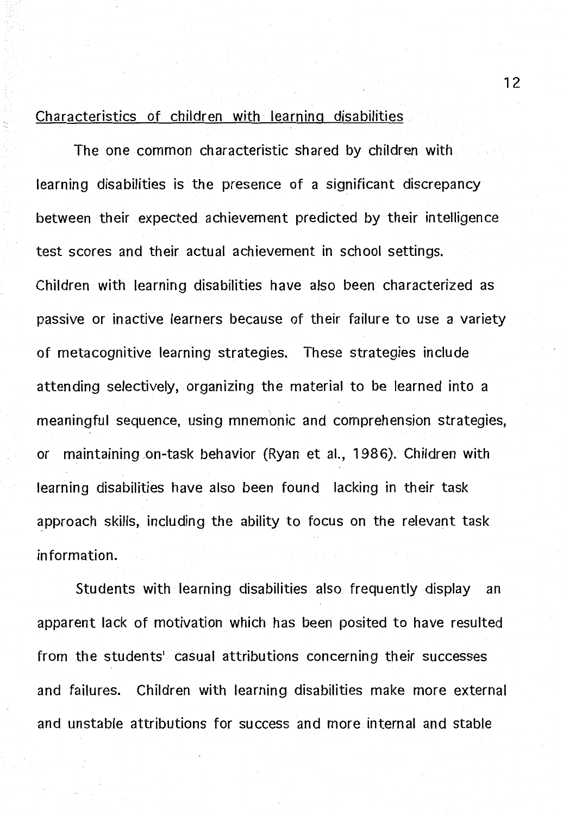#### Characteristics of children with learning disabilities

The one common characteristic shared by children with learning disabilities is the presence of a significant discrepancy between their expected achievement predicted by their intelligence test scores and their actual achievement in school settings. Children with learning disabilities have also been characterized as passive or inactive learners because of their failure to use a variety of metacognitive learning strategies. These strategies include attending selectively, organizing the material to be learned into a meaningful sequence, using mnemonic and comprehension strategies, or maintaining .on-task behavior (Ryan et al., 1986). Children with learning disabilities have also been found lacking in their task approach skills, including the ability to focus on the relevant task information.

Students with learning disabilities also frequently display an apparent lack of motivation which has been posited to have resulted from the students' casual attributions concerning their successes and failures. Children with learning disabilities make more external and unstable attributions for success and more internal and stable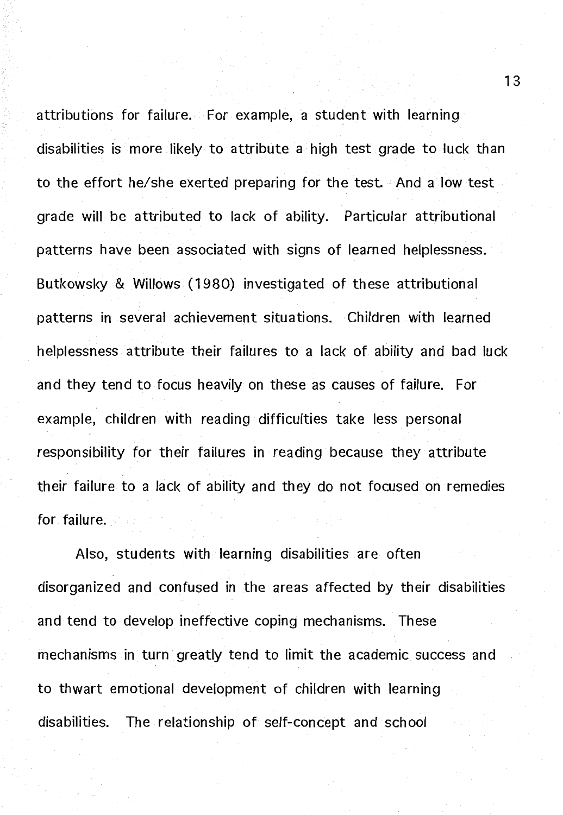attributions for failure. For example, a student with learning disabilities is more likely to attribute a high test grade to luck than to the effort he/she exerted preparing for the test. And a low test grade will be attributed to lack of ability. Particular attributional patterns have been associated with signs of learned helplessness. Butkowsky & Willows (1980) investigated of these attributional patterns in several achievement situations. Children with learned helplessness attribute their failures to a lack of ability and bad luck and they tend to focus heavily on these as causes of failure. For example, children with reading difficulties take less personal responsibility for their failures in reading because they attribute their failure to a lack of ability and they do not focused on remedies for failure.

Also, students with learning disabilities are often disorganized and confused in the areas affected by their disabilities and tend to develop ineffective coping mechanisms. These mechanisms in turn greatly tend to limit the academic success and to thwart emotional development of children with learning disabilities. The relationship of self-concept and school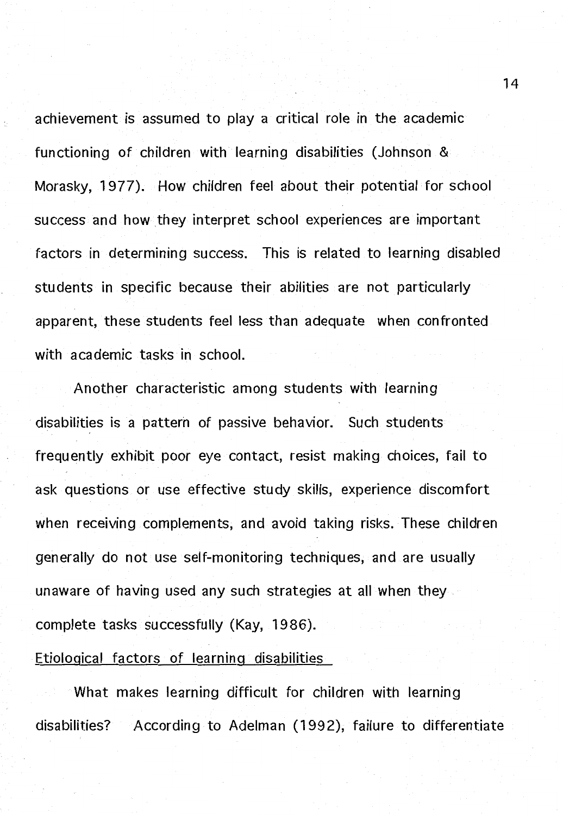achievement is assumed to play a critical role in the academic functioning of children with learning disabilities (Johnson & Morasky, 1 977). How children feel about their potential for school success and how they interpret school experiences are important factors in determining success. This is related to learning disabled students in specific because their abilities are not particularly apparent, these students feel less than adequate when confronted with academic tasks in school.

Another characteristic among students with learning disabilities is a pattern of passive behavior. Such students frequently exhibit poor eye contact, resist making choices, fail to ask questions or use effective study skills, experience discomfort when receiving complements, and avoid taking risks. These children generally do not use self-monitoring techniques, and are usually unaware of having used any such strategies at all when they complete tasks successfully (Kay, 1986).

#### Etiological factors of learning disabilities

What makes learning difficult for children with learning disabilities? According to Adelman (1992), failure to differentiate

14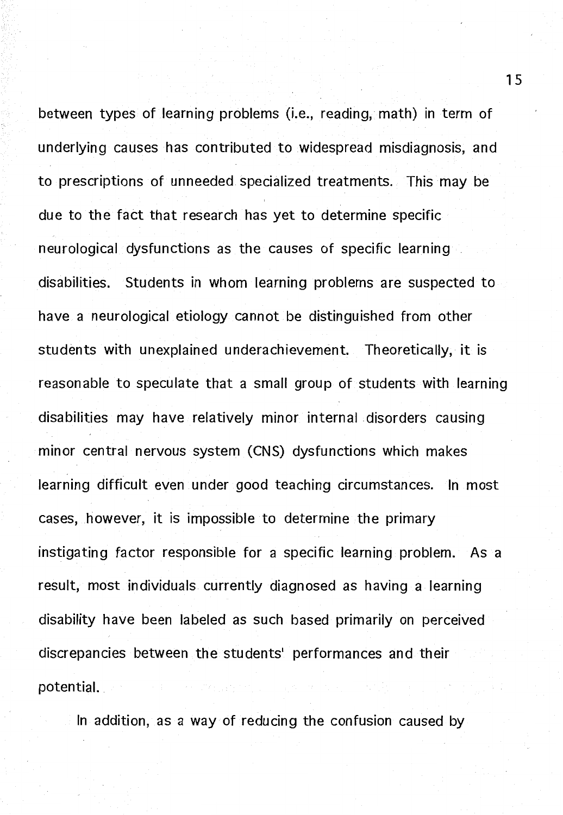between types of learning problems (i.e., reading, math) in term of underlying causes has contributed to widespread misdiagnosis, and to prescriptions of unneeded specialized treatments. This may be due to the fact that research has yet to determine specific neurological dysfunctions as the causes of specific learning disabilities. Students in whom learning problems are suspected to have a neurological etiology cannot be distinguished from other students with unexplained underachievement. Theoretically, it is reasonable to speculate that a small group of students with learning disabilities may have relatively minor internal disorders causing minor central nervous system (CNS) dysfunctions which makes learning difficult even under good teaching circumstances. In most cases, however, it is impossible to determine the primary instigating factor responsible for a specific learning problem. As a result, most individuals currently diagnosed as having a learning disability have been labeled as such based primarily on perceived discrepancies between the students' performances and their potential.

In addition, as a way of reducing the confusion caused by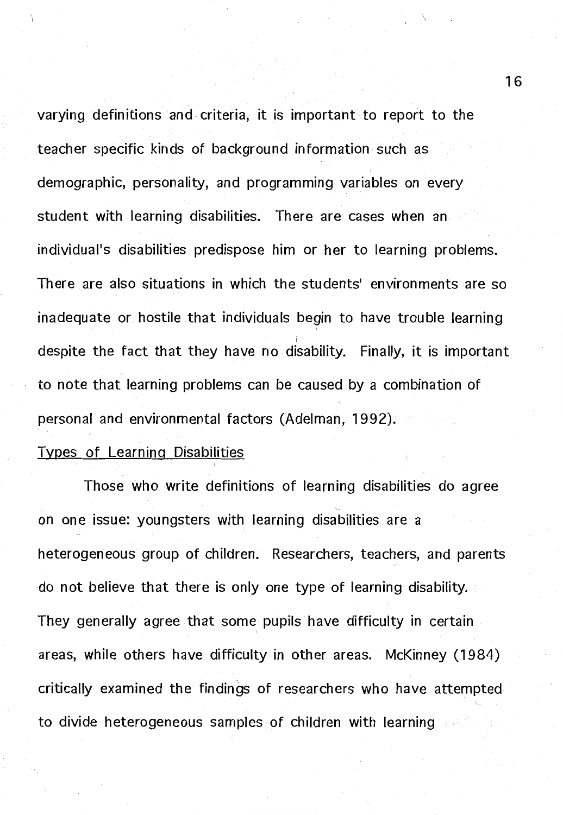varying definitions and. criteria, it is important to report to the teacher specific kinds of background information such as demographic, personality, and programming variables on every student with learning disabilities. There are cases when an individual's disabilities predispose him or her to learning problems. There are also situations in which the students' environments are so inadequate or hostile that individuals begin to have trouble learning despite the fact that they have no disability. Finally, it is important to note that learning problems can be caused by a combination of personal and environmental factors (Adelman, 1992).

#### Types of Learning Disabilities

Those who write definitions of learning disabilities do agree on one issue: youngsters with learning disabilities are a heterogeneous group of children. Researchers, teachers, and parents do not believe that there is only one type of learning disability. They generally agree that some pupils have difficulty in certain areas, while others have difficulty in other areas. McKinney (1984) critically examined the findings of researchers who have attempted to divide heterogeneous samples of children with learning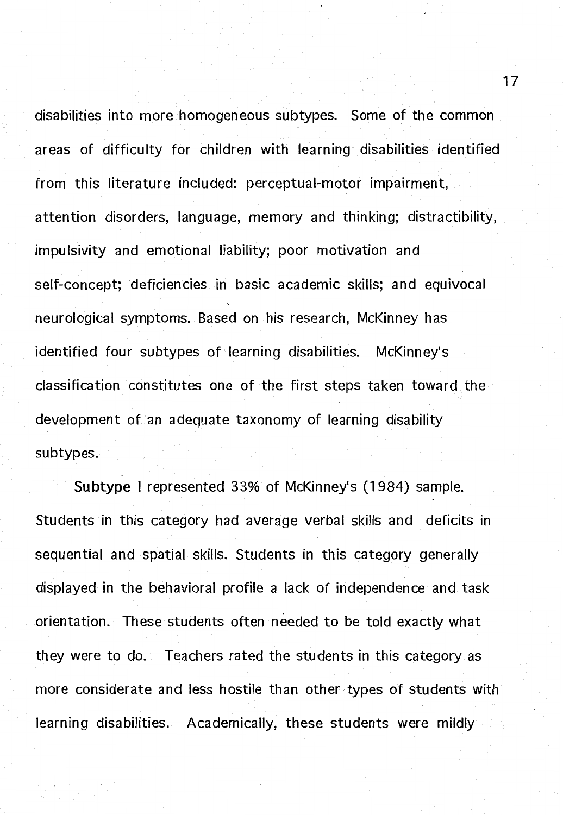disabilities into more homogeneous subtypes. Some of the common areas of difficulty for children with learning disabilities identified from this literature included: perceptual-motor impairment, attention disorders, language, memory and thinking; distractibility, impulsivity and emotional liability; poor motivation and self-concept; deficiencies in basic academic skills; and equivocal neurological symptoms. Based on his research, McKinney has identified four subtypes of learning disabilities. McKinney's classification constitutes one of the first steps taken toward the development of an adequate taxonomy of learning disability subtypes.

**Subtype** I represented 33% of McKinney's (1984) sample. Students in this category had average verbal skills and deficits in sequential and spatial skills. Students in this category generally displayed in the behavioral profile a lack of independence and task orientation. These students often needed to be told exactly what they were to do. Teachers rated the students in this category as more considerate and less hostile than other types of students with learning disabilities. Academically, these students were mildly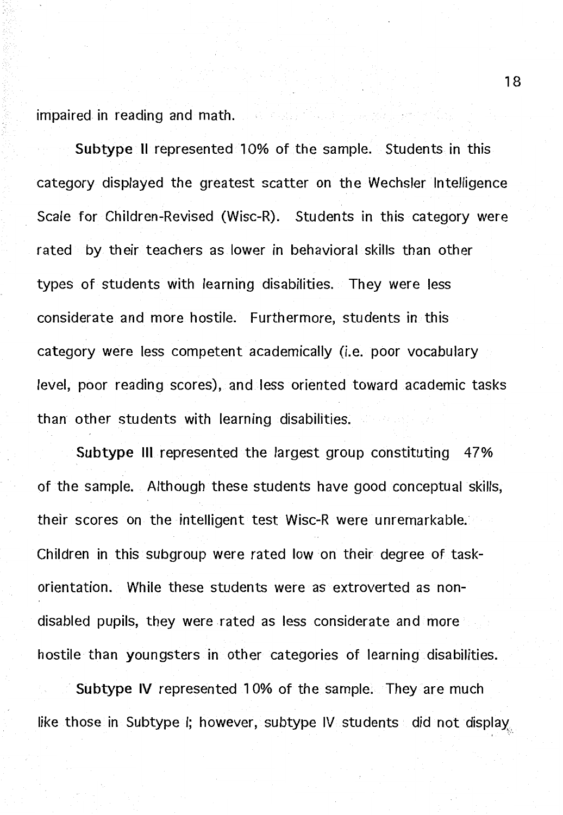impaired in reading and math.

**Subtype** II represented 10% of the sample. Students in this category displayed the greatest scatter on the Wechsler Intelligence Scale for Children-Revised (Wisc-R). Students in this category were rated by their teachers as lower in behavioral skills than other types of students with learning disabilities. They were less considerate and more hostile. Furthermore, students in this category were less competent academically (i.e. poor vocabulary level, poor reading scores), and less oriented toward academic tasks than other students with learning disabilities.

**Subtype** Ill represented the largest group constituting 47% of the sample. Although these students have good conceptual skills, their scores on the intelligent test Wisc-R were unremarkable. Children in this subgroup were rated low on their degree of taskorientation. While these students were as extroverted as nondisabled pupils, they were rated as less considerate and more hostile than youngsters in other categories of learning disabilities.

**Subtype IV** represented 10% of the sample. They are much like those in Subtype I; however, subtype IV students did not display

18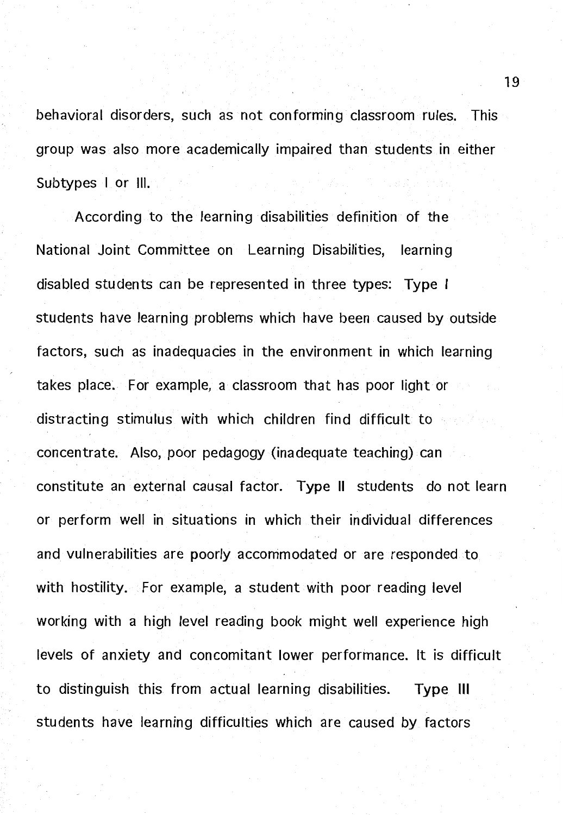behavioral disorders, such as not conforming classroom rules. This group was also more academically impaired than students in either Subtypes I or Ill.

According to the learning disabilities definition of the National Joint Committee on Learning Disabilities, learning disabled students can be represented in three types: **Type** I students have learning problems which have been caused by outside factors, such as inadequacies in the environment in which learning takes place. For example, a classroom that has poor light or distracting stimulus with which children find difficult to concentrate. Also, poor pedagogy (inadequate teaching) can constitute an external causal factor. **Type** II students do not learn or perform well in situations in which their individual differences and vulnerabilities are poorly accommodated or are responded to with hostility. For example, a student with poor reading level working with a high level reading book might well experience high levels of anxiety and concomitant lower performance. It is difficult to distinguish this from actual learning disabilities. **Type** Ill students have learning difficulties which are caused by factors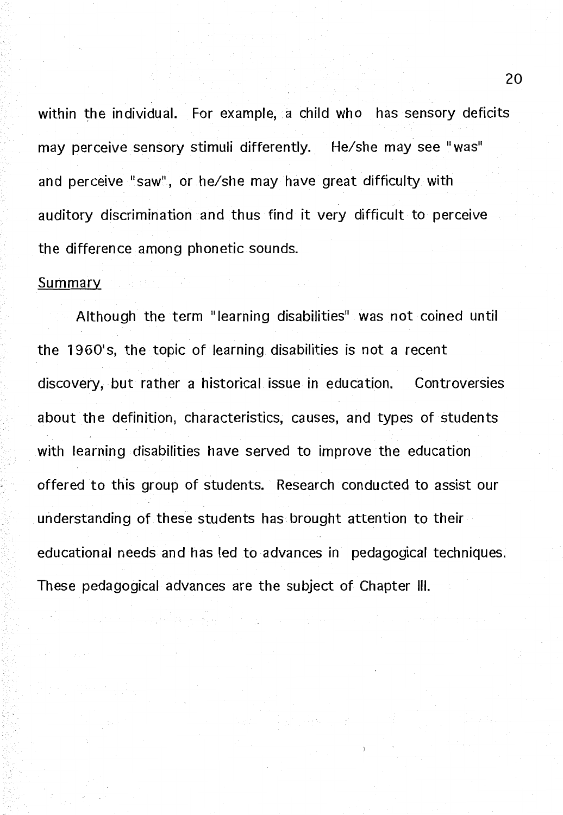within the individual. For example, a child who has sensory deficits may perceive sensory stimuli differently. He/she may see "was" and perceive "saw", or he/she may have great difficulty with auditory discrimination and thus find it very difficult to perceive the difference among phonetic sounds.

#### Summary

Although the term "learning disabilities" was not coined until the 1960's, the topic of learning disabilities is not a recent discovery, but rather a historical issue in education. Controversies about the definition, characteristics, causes, and types of students with learning disabilities have served to improve the education offered to this group of students. Research conducted to assist our understanding of these students has brought attention to their educational needs and has led to advances in pedagogical techniques. These pedagogical advances are the subject of Chapter Ill.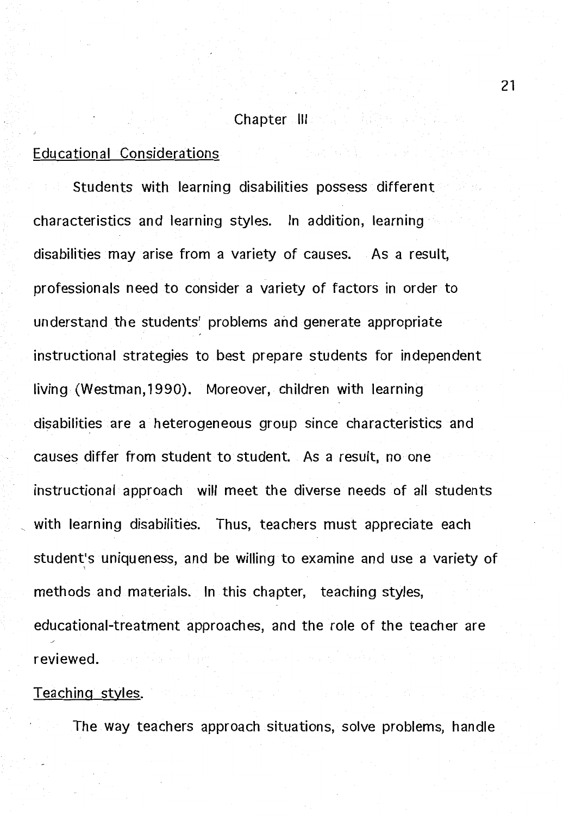#### Chapter III

고급무 발

#### Educational Considerations

Students with learning disabilities possess different characteristics and learning styles. In addition, learning disabilities may arise from a variety of causes. As a result, professionals need to consider a variety of factors in order to understand the students' problems and generate appropriate instructional strategies to best prepare students for independent living (Westman, 1990). Moreover, children with learning disabilities are a heterogeneous group since characteristics and causes differ from student to student. As a result, no one instructional approach will meet the diverse needs of all students with learning disabilities. Thus, teachers must appreciate each student's uniqueness, and be willing to examine and use a variety of methods and materials. In this chapter, teaching styles, educational-treatment approaches, and the role of the teacher are reviewed.

#### Teaching styles.

The way teachers approach situations, solve problems, handle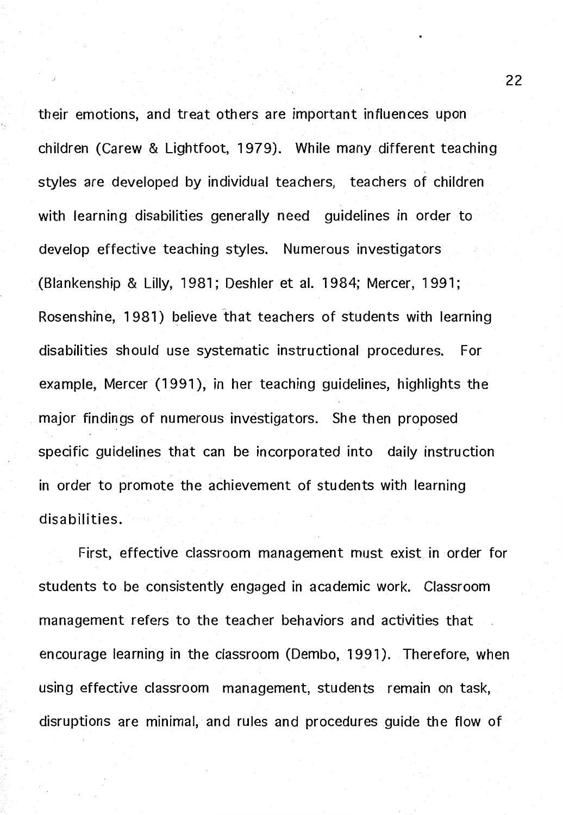their emotions, and treat others are important influences upon children (Carew & Lightfoot, 1979). While many different teaching styles are developed by individual teachers, teachers of children with learning disabilities generally need quidelines in order to develop effective teaching styles. Numerous investigators (Blankenship & Lilly, 1981; Deshler et al. 1984; Mercer, 1991; Rosenshine, 1981) believe that teachers of students with learning disabilities should use systematic instructional procedures. For example, Mercer (1991), in her teaching guidelines, highlights the major findings of numerous investigators. She then proposed specific guidelines that can be incorporated into daily instruction in order to promote the achievement of students with learning disabilities.

First, effective classroom management must exist in order for students to be consistently engaged in academic work. Classroom management refers to the teacher behaviors and activities that encourage learning in the classroom (Dembo, 1991 ). Therefore, when using effective classroom management, students remain on task, disruptions are minimal, and rules and procedures guide the flow of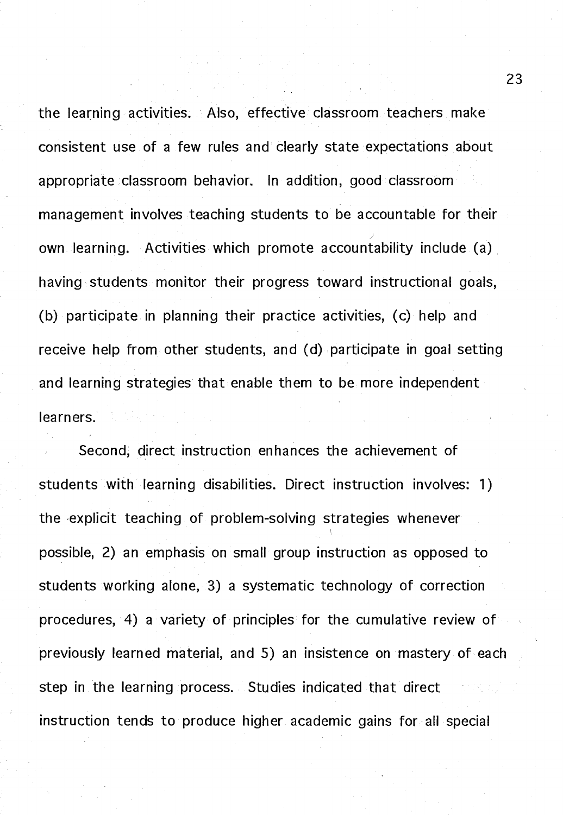the learning activities. Also, effective classroom teachers make consistent use of a few rules and clearly state expectations about appropriate classroom behavior. In addition, good classroom management involves teaching students to be accountable for their own learning. Activities which promote accountability include (a) having students monitor their progress toward instructional goals, (b) participate in planning their practice activities, (c) help and receive help from other students, and (d) participate in goal setting and learning strategies that enable them to be more independent learners.

Second, direct instruction enhances the achievement of students with learning disabilities. Direct instruction involves: 1) the -explicit teaching of problem-solving strategies whenever possible, 2) an emphasis on small group instruction as opposed to students working alone, 3) a systematic technology of correction procedures, 4) a variety of principles for the cumulative review of previously learned material, and 5) an insistence on mastery of each step in the learning process. Studies indicated that direct instruction tends to produce higher academic gains for all special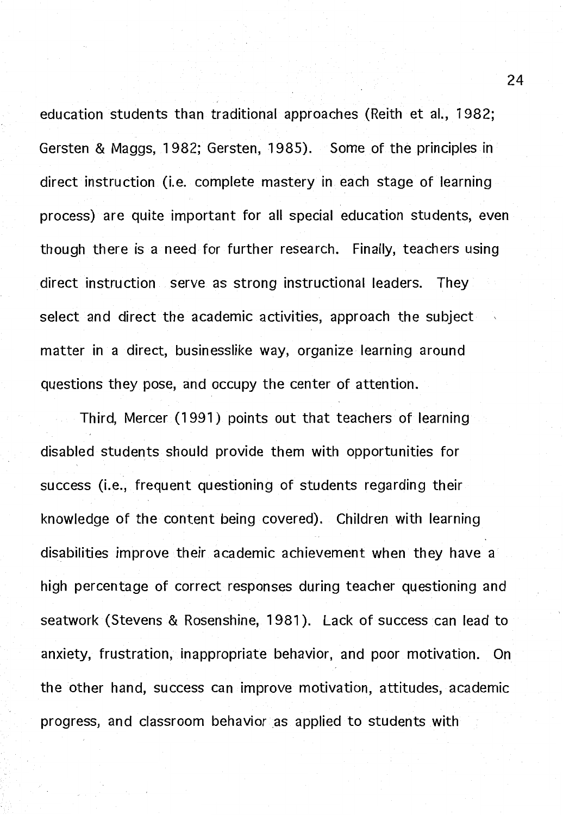education students than traditional approaches (Reith et al., 1982; Gersten & Maggs, 1982; Gersten, 1985). Some of the principles in direct instruction (i.e. complete mastery in each stage of learning process) are quite important for all special education students, even though there is a need for further research. Finally, teachers using direct instruction serve as strong instructional leaders. They select and direct the academic activities, approach the subject matter in a direct, businesslike way, organize learning around questions they pose, and occupy the center of attention.

Third, Mercer (1991) points out that teachers of learning disabled students should provide them with opportunities for success (i.e., frequent questioning of students regarding their knowledge of the content being covered). Children with learning disabilities improve their academic achievement when they have a high percentage of correct responses during teacher questioning and seatwork (Stevens & Rosenshine, 1981 ). Lack of success can lead to anxiety, frustration, inappropriate behavior, and poor motivation. On the other hand, success can improve motivation, attitudes, academic progress, and classroom behavior as applied to students with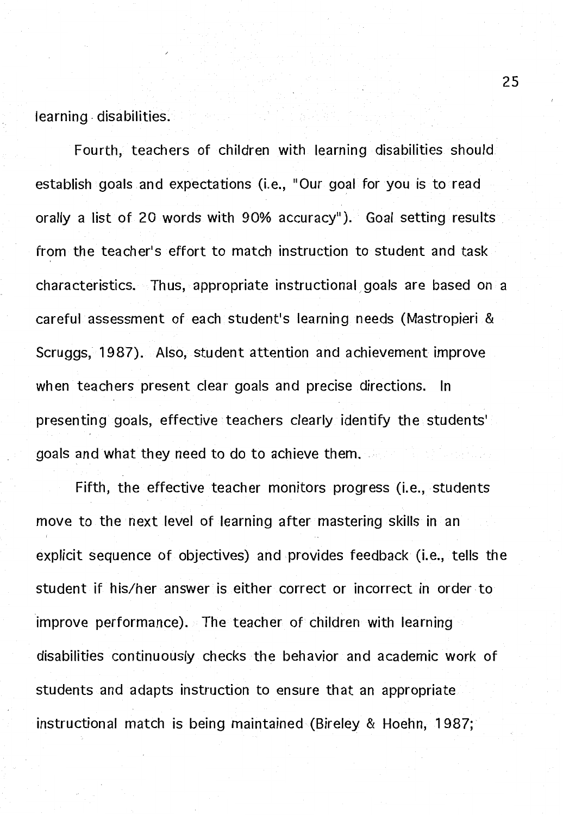learning -disabilities.

Fourth, teachers of children with learning disabilities should establish goals and expectations (i.e., "Our goal for you is to read orally a list of 20 words with 90% accuracy"). Goal setting results from the teacher's effort to match instruction to student and task characteristics. Thus, appropriate instructional, goals are based on a careful assessment of each student's learning needs (Mastropieri & Scruggs, 1987). Also, student attention and achievement improve when teachers present clear goals and precise directions. In presenting goals, effective teachers clearly identify the students' goals and what they need to do to achieve them.

Fifth, the effective teacher monitors progress (i.e., students move to the next level of learning after mastering skills in an explicit sequence of objectives) and provides feedback (i.e., tells the student if his/her answer is either correct or incorrect in order to improve performance). The teacher of children with learning disabilities continuously checks the behavior and academic work of students and adapts instruction to ensure that an appropriate instructional match is being maintained (Bireley & Hoehn, 1987;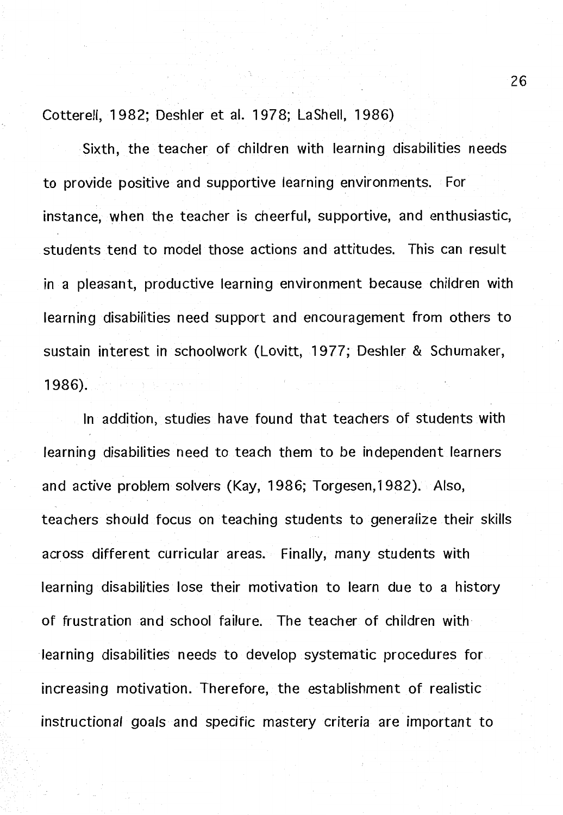Cotterell, 1982; Deshler et al. 1978; Lashell, 1986)

Sixth, the teacher of children with learning disabilities needs to provide positive and supportive learning environments. For instance, when the teacher is cheerful, supportive, and enthusiastic, students tend to model those actions and attitudes. This can result in a pleasant, productive learning environment because children with learning disabilities need support and encouragement from others to sustain interest in schoolwork (Lovitt, 1977; Deshler & Schumaker, 1986).

In addition, studies have found that teachers of students with learning disabilities need to teach them to be independent learners and active problem solvers (Kay, 1986; Torgesen, 1982). Also, teachers should focus on teaching students to generalize their skills across different curricular areas. Finally, many students with learning disabilities lose their motivation to learn due to a history of frustration and school failure. The teacher of children with learning disabilities needs to develop systematic procedures for increasing motivation. Therefore, the establishment of realistic instructional goals and specific mastery criteria are important to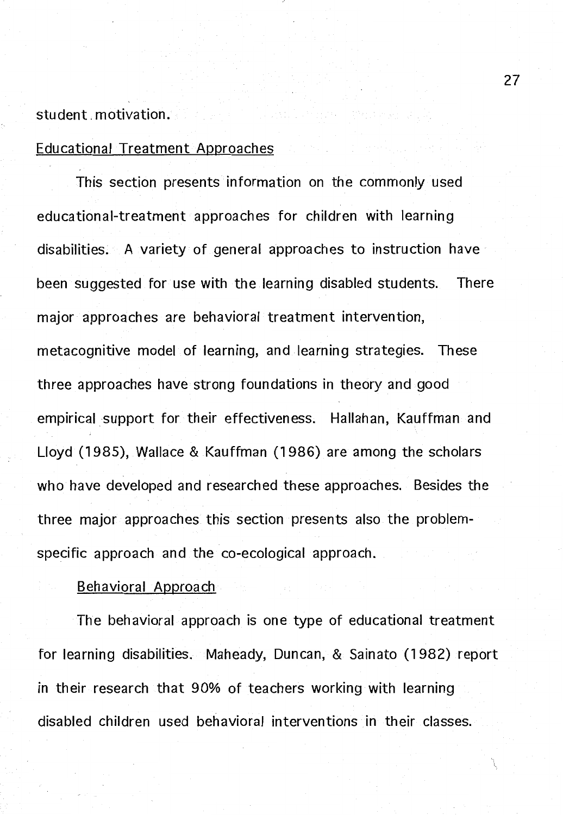#### student\_motivation.

#### Educational Treatment Approaches

This section presents information on the commonly used educational-treatment approaches for children with learning disabilities. A variety of general approaches to instruction have been suggested for use with the learning disabled students. There major approaches are behavioral treatment intervention, metacognitive model of learning, and learning strategies. These three approaches have strong foundations in theory and good empirical support for their effectiveness. Hallahan, Kauffman and Lloyd (1985), Wallace & Kauffman (1986) are among the scholars who have developed and researched these approaches. Besides the three major approaches this section presents also the problemspecific approach and the co-ecological approach.

#### Behavioral Approach

The behavioral approach is one type of educational treatment for learning disabilities. Maheady, Duncan, & Sainato (1982) report in their research that 90% of teachers working with learning disabled children used behavioral interventions in their classes.

27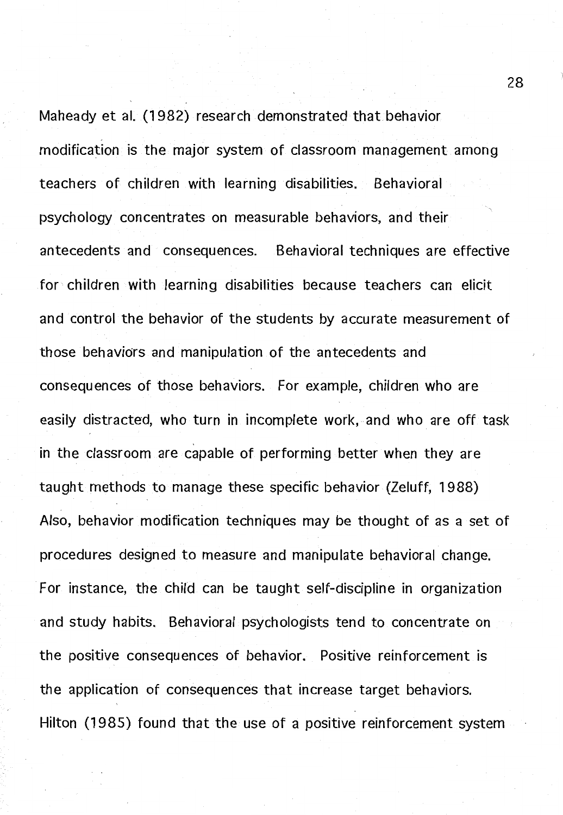Maheady et al. (1982) research demonstrated that behavior modification is the major system of classroom management among teachers of children with learning disabilities. Behavioral psychology concentrates on measurable behaviors, and their antecedents and consequences. Behavioral techniques are effective for children with learning disabilities because teachers can elicit and control the behavior of the students by accurate measurement of those behaviors and manipulation of the antecedents and consequences of those behaviors. For example, children who are easily distracted, who turn in incomplete work, and who are off task in the classroom are capable of performing better when they are taught methods to manage these specific behavior (Zeluff, 1988) Also, behavior modification techniques may be thought of as a set of procedures designed to measure and manipulate behavioral change. For instance, the child can be taught self-discipline in organization and study habits. Behavioral psychologists tend to concentrate on the positive consequences of behavior. Positive reinforcement is the application of consequences that increase target behaviors. Hilton (1985) found that the use of a positive reinforcement system

28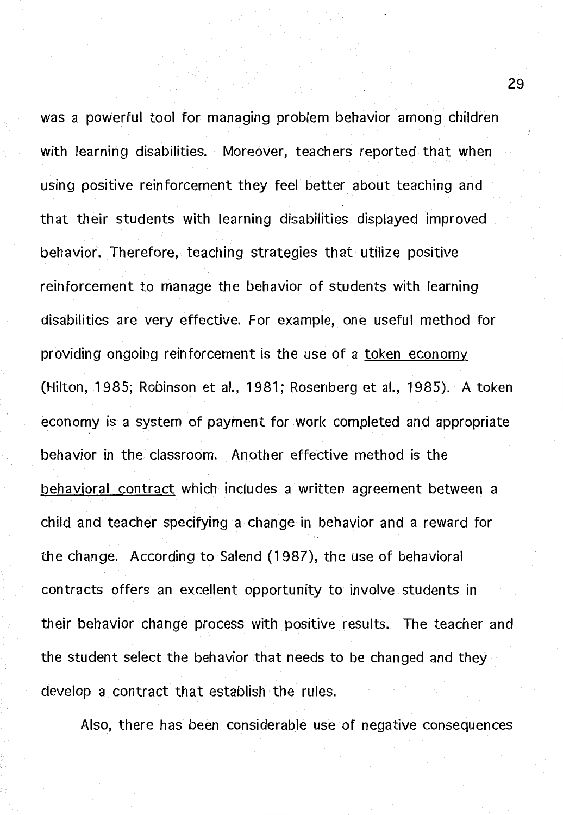was a powerful tool for managing problem behavior among children with learning disabilities. Moreover, teachers reported that when using positive reinforcement they feel better about teaching and that their students with learning disabilities displayed improved behavior. Therefore, teaching strategies that utilize positive reinforcement to manage the behavior of students with learning disabilities are very effective. For example, one useful method for providing ongoing reinforcement is the use of a token economy (Hilton, 1985; Robinson et al., 1981; Rosenberg et al., 1985). A token economy is a system of payment for work completed and appropriate behavior in the classroom. Another effective method is the behavioral contract which includes a written agreement between a child and teacher specifying a change in behavior and a reward for the change. According to Salend (1987), the use of behavioral contracts offers an excellent opportunity to involve students in their behavior change process with positive results. The teacher and the student select the behavior that needs to be changed and they develop a contract that establish the rules.

Also, there has been considerable use of negative consequences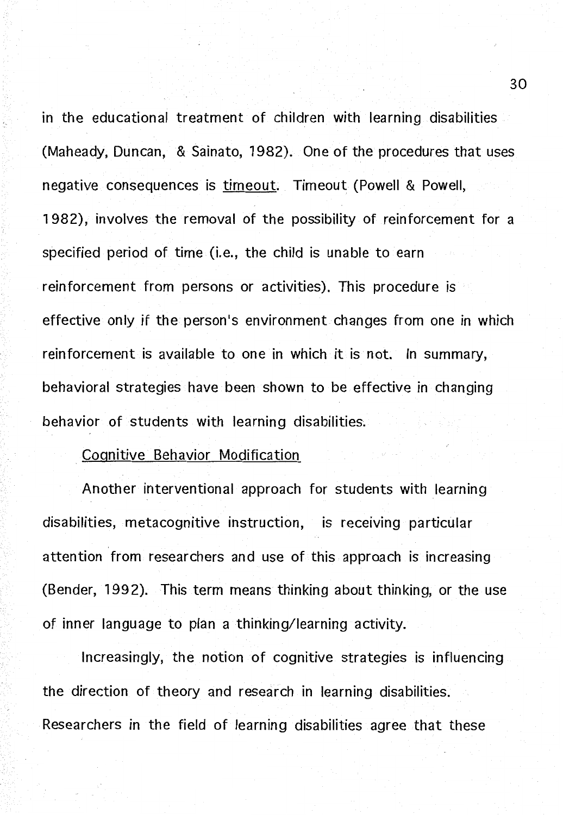m the educational treatment of children with learning disabilities (Maheady, Duncan, & Sainato, 1982). One of the procedures that uses negative consequences is timeout. Timeout (Powell & Powell, 1982), involves the removal of the possibility of reinforcement for a specified period of time (i.e., the child is unable to earn reinforcement from persons or activities). This procedure is effective only if the person's environment changes from one in which reinforcement is available to one in which it is not. In summary, behavioral strategies have been shown to be effective in changing behavior of students with learning disabilities;

#### Cognitive Behavior Modification

Another interventional approach for students with learning disabilities, metacognitive instruction, is receiving particular attention from researchers and use of this approach is increasing (Bender, 1992). This term means thinking about thinking, or the use of inner language to plan a thinking/learning activity.

Increasingly, the notion of cognitive strategies is influencing the direction of theory and research in learning disabilities. Researchers in the field of learning disabilities agree that these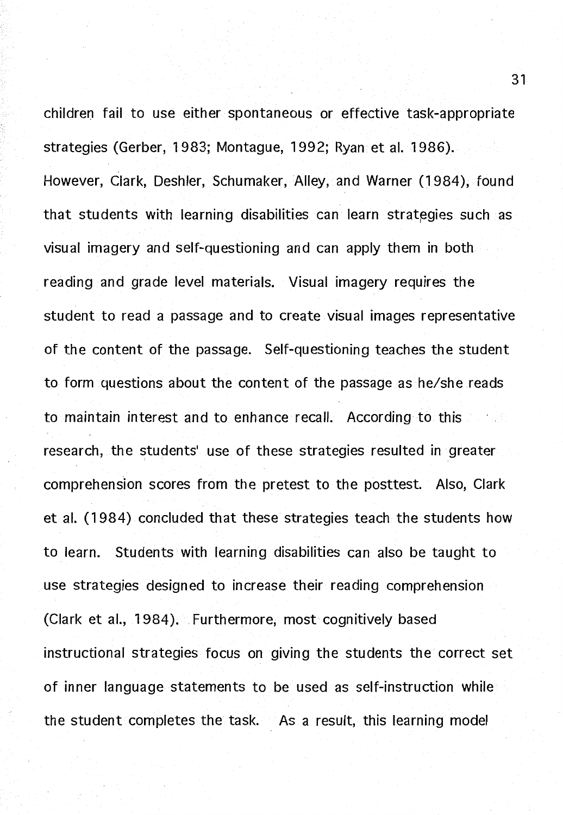children fail to use either spontaneous or effective task-appropriate strategies (Gerber, 1983; Montague, 199 2; Ryan et al. 1986). However, Clark, Deshler, Schumaker, Alley, and Warner (1984), found that students with learning disabilities can learn strategies such as visual imagery and self-questioning and can apply them in both reading and grade level materials. Visual imagery requires the student to read a passage and to create visual images representative of the content of the passage. Self-questioning teaches the student to form questions about the content of the passage as he/she reads to maintain interest and to enhance recall. According to this research, the students' use of these strategies resulted in greater comprehension scores from the pretest to the posttest. Also, Clark et al. (1984) concluded that these strategies teach the students how to learn. Students with learning disabilities can also be taught to use strategies designed to increase their reading comprehension (Clark et al., 1984). Furthermore, most cognitively based instructional strategies focus on giving the students the correct set of inner language statements to be used as self-instruction while the student completes the task.  $\Delta$  As a result, this learning model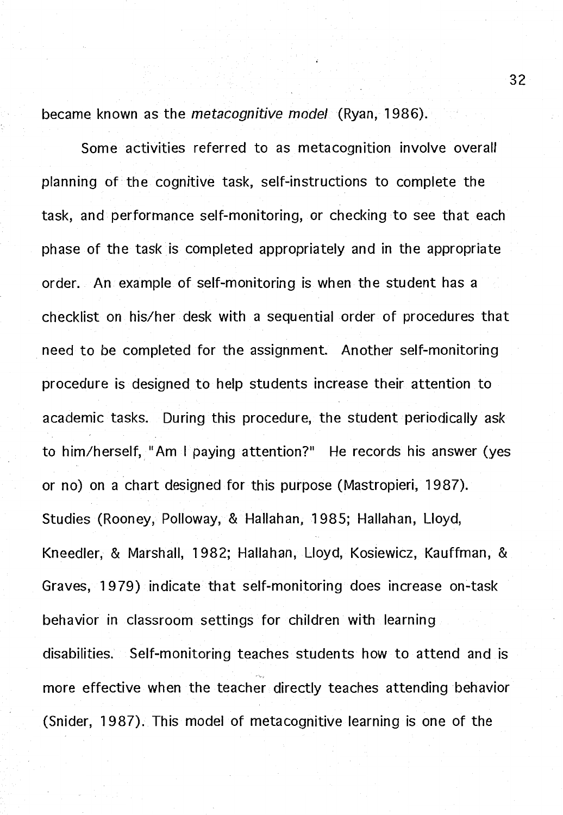became known as the *metacognitive model* (Ryan, 1986).

Some activities referred to as metacognition involve overall planning of the cognitive task, self-instructions to complete the task, and performance self-monitoring, or checking to see that each phase of the task is completed appropriately and in the appropriate order. An example of self-monitoring is when the student has a checklist on his/her desk with a sequential order of procedures that need to be completed for the assignment. Another self-monitoring procedure is designed to help students increase their attention to academic tasks. During this procedure, the student periodically ask to him/herself, "Am I paying attention?" He records his answer (yes or no) on a chart designed for this purpose (Mastropieri, 1987). Studies (Rooney, Polloway, & Hallahan, 1985; Hallahan, Lloyd, Kneedler, & Marshall, 1982; Hallahan, Lloyd, Kosiewicz, Kauffman, & Graves, 1979) indicate that self-monitoring does increase on-task behavior in classroom settings for children with learning disabilities. Self-monitoring teaches students how to attend and is more effective when the teacher directly teaches attending behavior (Snider, 1987). This model of metacognitive learning is one of the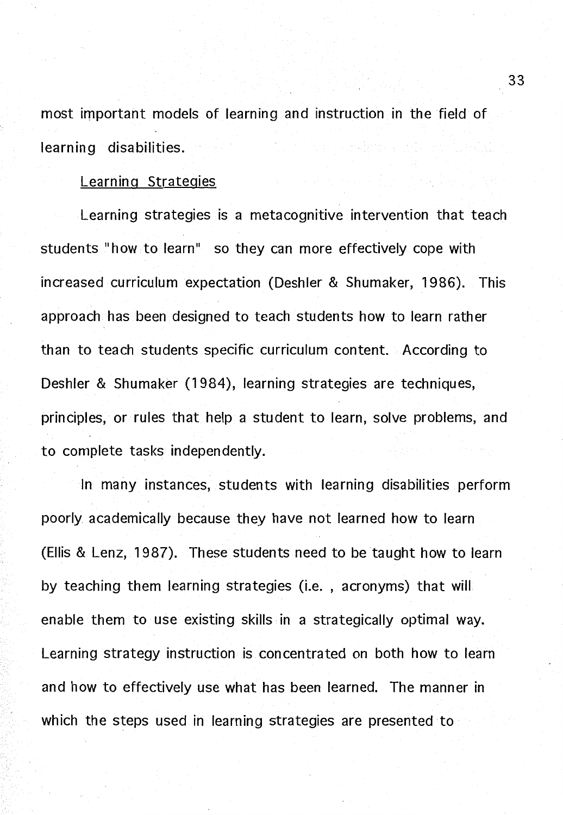most important models of learning and instruction in the field of learning disabilities.

#### Learning Strategies

Learning strategies is a metacognitive intervention that teach students "how to learn" so they can more effectively cope with increased curriculum expectation (Deshler & Shumaker, 1986). This approach has been designed to teach students how to learn rather than to teach students specific curriculum content. According to Deshler & Shumaker (1984), learning strategies are techniques, principles, or rules that help a student to learn, solve problems, and to complete tasks independently.

In many instances, students with learning disabilities perform poorly academically because they have not learned how to learn (Ellis & Lenz, 1987). These students need to be taught how to learn by teaching them learning strategies (i.e., acronyms) that will enable them to use existing skills in a strategically optimal way. Learning strategy instruction is concentrated on both how to learn and how to effectively use what has been learned. The manner in which the steps used in learning strategies are presented to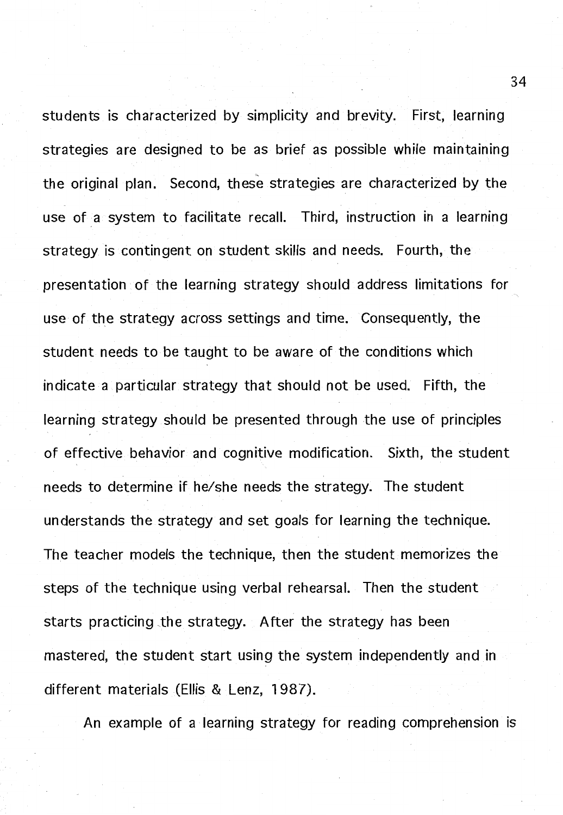students is characterized by simplicity and brevity. First, learning strategies are designed to be as brief as possible while maintaining the original plan. Second, these strategies are characterized by the use of. a system to facilitate recall. Third, instruction in a learning strategy is contingent on student skills and needs. Fourth, the presentation of the learning strategy should address limitations for use of the strategy across settings and time. Consequently, the student needs to be taught to be aware of the conditions which indicate a particular strategy that should not be used. Fifth, the learning strategy should be presented through the use of principles of effective behavior and cognitive modification. Sixth, the student needs to determine if he/she needs the strategy. The student understands the strategy and set goals for learning the technique. The teacher models the technique, then the student memorizes the steps of the technique using verbal rehearsal. Then the student starts practicing the strategy. After the strategy has been mastered, the student start using the system independently and in different materials (Ellis & Lenz, 1987).

An example of a learning strategy for reading comprehension is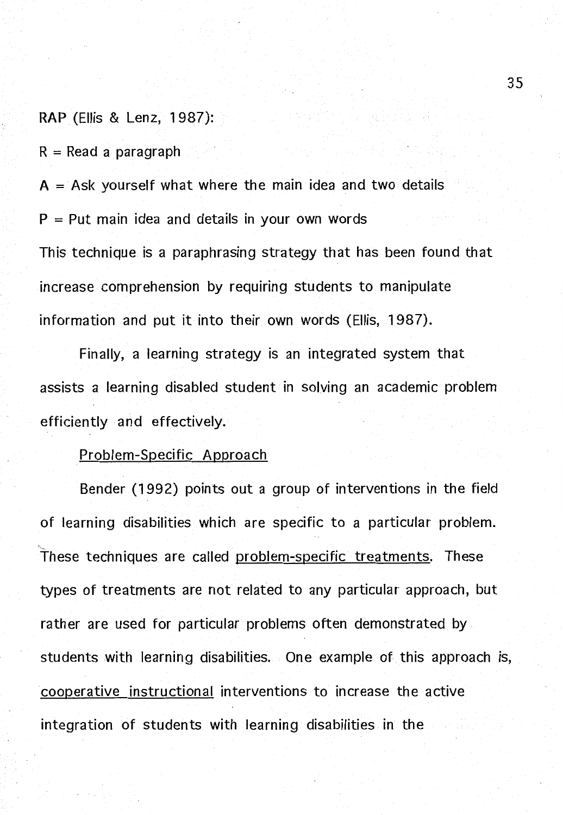**RAP** (Ellis & Lenz, 1 987):

**R** = Read a paragraph

**A** = Ask yourself what where the main idea and two details  $P = Put$  main idea and details in your own words This technique is a paraphrasing strategy that has been found that increase comprehension by requiring students to manipulate information and put it into their own words (Ellis, 1987).

Finally, a learning strategy is an integrated system that assists a learning disabled student in solving an academic problem efficiently and effectively.

#### Problem-Specific Approach

Bender (1 992) points out a group of interventions in the field of learning disabilities which are specific to a particular problem. These techniques are called problem-specific treatments. These types of treatments are not related to any particular approach, but rather are used for particular problems often demonstrated by students with learning disabilities. One example of this approach is, cooperative instructional interventions to increase the active integration of students with learning disabilities in the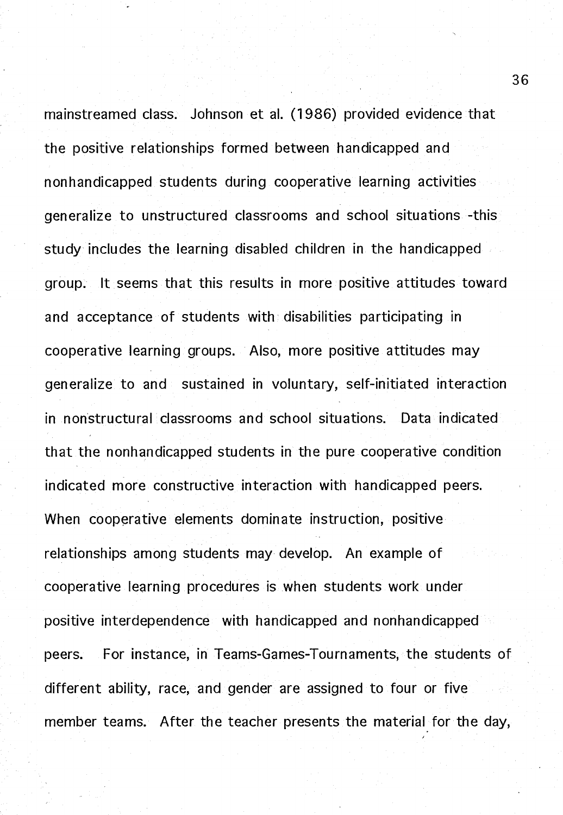mainstreamed class. Johnson et al. (1986) provided evidence that the positive relationships formed between handicapped and nonhandicapped students during cooperative learning activities generalize to unstructured classrooms and school situations -this study includes the learning disabled children in the handicapped group. It seems that this results in more positive attitudes toward and acceptance of students with disabilities participating in cooperative learning groups. Also, more positive attitudes may generalize to and sustained in voluntary, self-initiated interaction in nonstructural classrooms and school situations. Data indicated that the nonhandicapped students in the pure cooperative condition indicated more constructive interaction with handicapped peers. When cooperative elements dominate instruction, positive relationships among students may develop. An example of cooperative learning procedures is when students work under positive interdependence with handicapped and nonhandicapped peers. For instance, in Teams-Games-Tournaments, the students of different ability, race, and gender are assigned to four or five member teams. After the teacher presents the material for the day,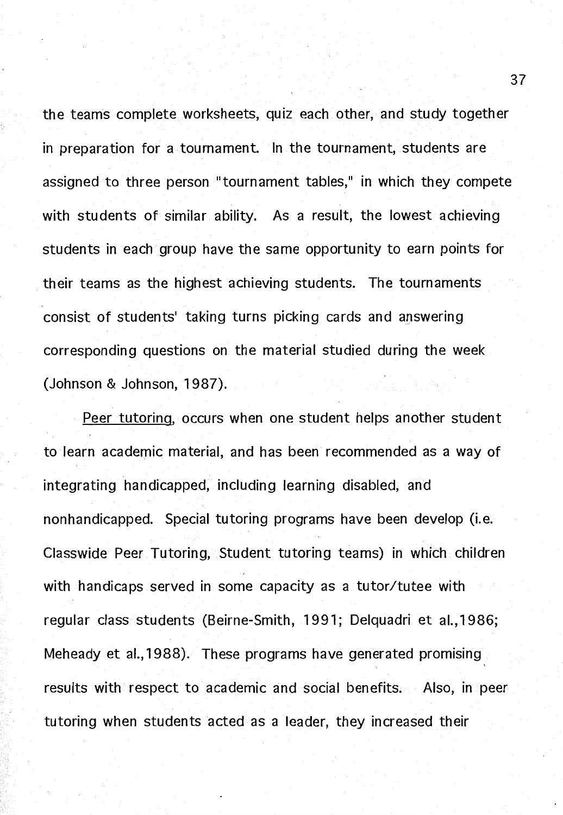the teams complete worksheets, quiz each other, and study together in preparation for a tournament. In the tournament, students are assigned to three person "tournament tables," in which they compete with students of similar ability. As a result, the lowest achieving students in each group have the same opportunity to earn points for their teams as the highest achieving students. The tournaments consist of students' taking turns picking cards and answering corresponding questions on the material studied during the week (Johnson & Johnson, 1987).

Peer tutoring. occurs when one student helps another student to learn academic material, and has been recommended as a way of integrating handicapped, including learning disabled, and nonhandicapped. Special tutoring programs have been develop (i.e. Classwide Peer Tutoring, Student tutoring teams) in which children with handicaps served in some capacity as a tutor/tutee with regular class students (Beirne-Smith, 1991; Delquadri et al., 1986; Meheady et al., 1988). These programs have generated promising results with respect to academic and social benefits. Also, in peer tutoring when students acted as a leader, they increased their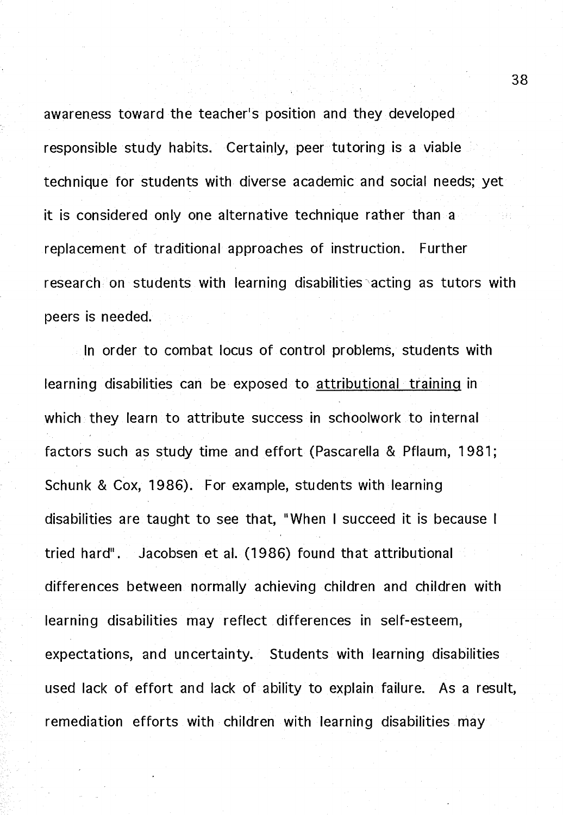awareness toward the teacher's position and they developed responsible study habits. Certainly, peer tutoring is a viable technique for students with diverse academic and social needs; yet it is considered only one alternative technique rather than a replacement of traditional approaches of instruction. Further research on students with learning disabilities acting as tutors with peers is needed.

In order to combat locus of control problems, students with learning disabilities can be exposed to attributional training in which they learn to attribute success in schoolwork to internal factors such as study time and effort (Pascarella & Pflaum, 1981; Schunk & Cox, 1986). For example, students with learning disabilities are taught to see that, "When I succeed it is because I tried hard". Jacobsen et al. (1986) found that attributional differences between normally achieving children and children with learning disabilities may reflect differences in self-esteem, expectations, and uncertainty. Students with learning disabilities used lack of effort and lack of ability to explain failure. As a result, remediation efforts with children with learning disabilities may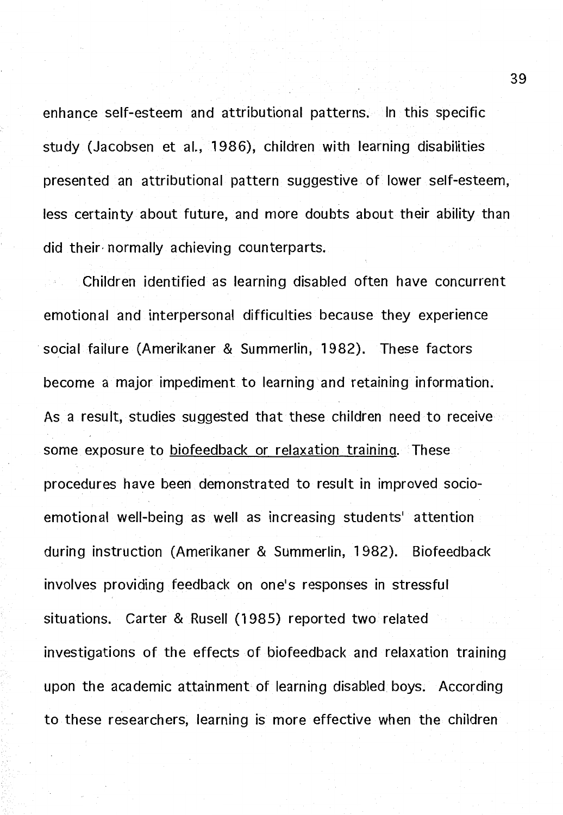enhance self-esteem and attributional patterns. In this specific study (Jacobsen et al., 1986), children with learning disabilities presented an attributional pattern suggestive of lower self-esteem, less certainty about future, and more doubts about their ability than did their- normally achieving counterparts.

Children identified as learning disabled often have concurrent emotional and interpersonal difficulties because they experience social failure (Amerikaner & Summerlin, 1982). These factors become a major impediment to learning and retaining information. As a result, studies suggested that these children need to receive some exposure to biofeedback or relaxation training. These procedures have been demonstrated to result in improved socioemotional well-being as well as increasing students' attention during instruction (Amerikaner & Summerlin, 1982). Biofeedback involves providing feedback on one's responses in stressful situations. Carter & Rusell (1985) reported two related investigations of the effects of biofeedback and relaxation training upon the academic attainment of learning disabled boys. According to these researchers, learning is more effective when the children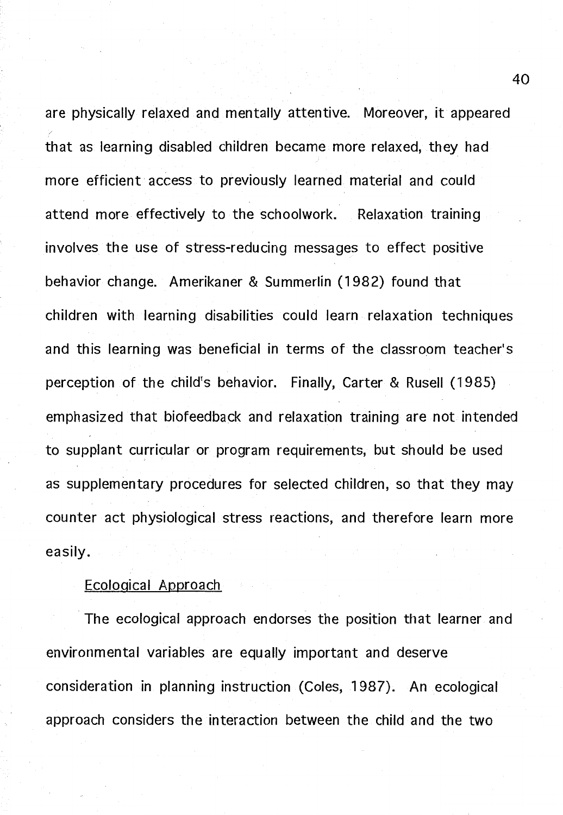are physically relaxed and mentally attentive. Moreover, it appeared that as learning disabled children became more relaxed, they had more efficient access to previously learned material and could attend more effectively to the schoolwork. Relaxation training involves the use of stress-reducing messages to effect positive behavior change. Amerikaner & Summerlin (1982) found that children with learning disabilities could learn relaxation techniques and this learning was beneficial in terms of the classroom teacher's perception of the child's behavior. Finally, Carter & Rusell (1985) emphasized that biofeedback and relaxation training are not intended to supplant curricular or program requirements, but should be used as supplementary procedures for selected children, so that they may counter act physiological stress reactions, and therefore learn more easily.

#### Ecological Approach

The ecological approach endorses the position that learner and environmental variables are equally important and deserve consideration in planning instruction (Coles, 1987). An ecological approach considers the interaction between the child and the two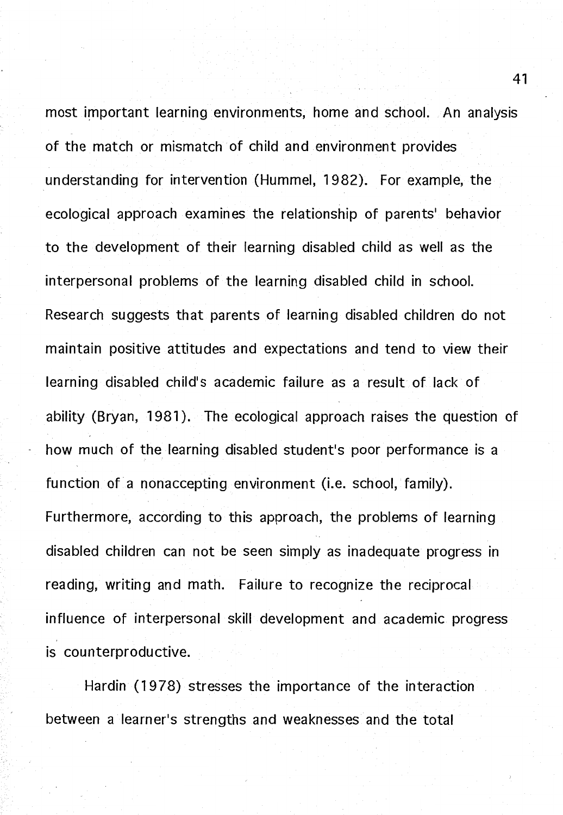most important learning environments, home and school. An analysis of the match or mismatch of child and environment provides understanding for intervention (Hummel, 1982). For example, the ecological approach examines the relationship of parents' behavior to the development of their learning disabled child as well as the interpersonal problems of the learning disabled child in school. Research suggests that parents of learning disabled children do not maintain positive attitudes and expectations and tend to view their learning disabled child's academic failure as a result of lack of ability (Bryan, 1981). The ecological approach raises the question of how much of the learning disabled student's poor performance is a function of a nonaccepting environment (i.e. school, family). Furthermore, according to this approach, the problems of learning disabled children can not be seen simply as inadequate progress in reading, writing and math. Failure to recognize the reciprocal influence of interpersonal skill development and academic progress is counterproductive.

Hardin (1978) stresses the importance of the interaction between a learner's strengths and weaknesses and the total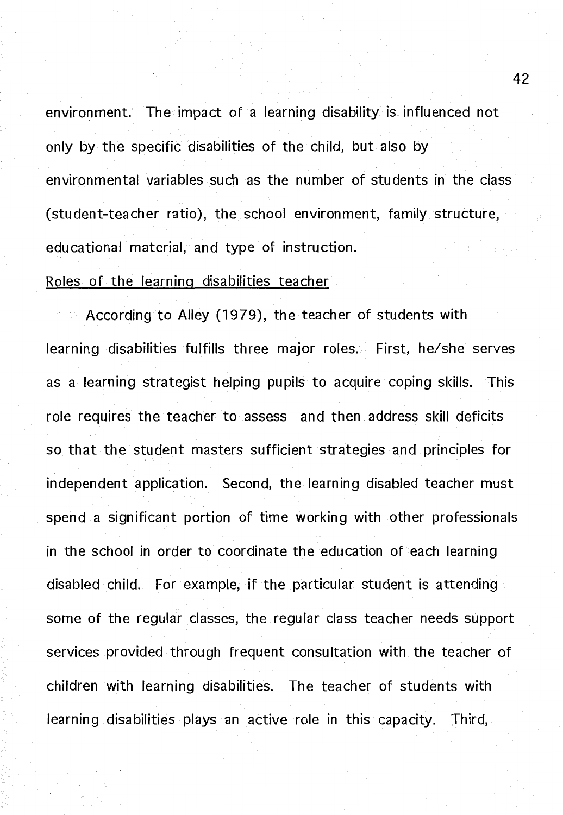environment. The impact of a learning disability is influenced not only by the specific disabilities of the child, but also by environmental variables such as the number of students in the class (student-teacher ratio), the school environment, family structure, educational material, and type of instruction.

#### Roles of the learning disabilities teacher

According to Alley (1979), the teacher of students with learning disabilities fulfills three major roles. First, he/she serves as a learning strategist helping pupils to acquire coping skills. This role requires the teacher to assess and then. address skill deficits so that the student masters sufficient strategies and principles for independent application. Second, the learning disabled teacher must spend a significant portion of time working with other professionals in the school in order to coordinate the education of each learning disabled child. For example, if the particular student is attending some of the regular classes, the regular class teacher needs support services provided through frequent consultation with the teacher of children with learning disabilities. The teacher of students with learning disabilities plays an active role in this capacity. Third,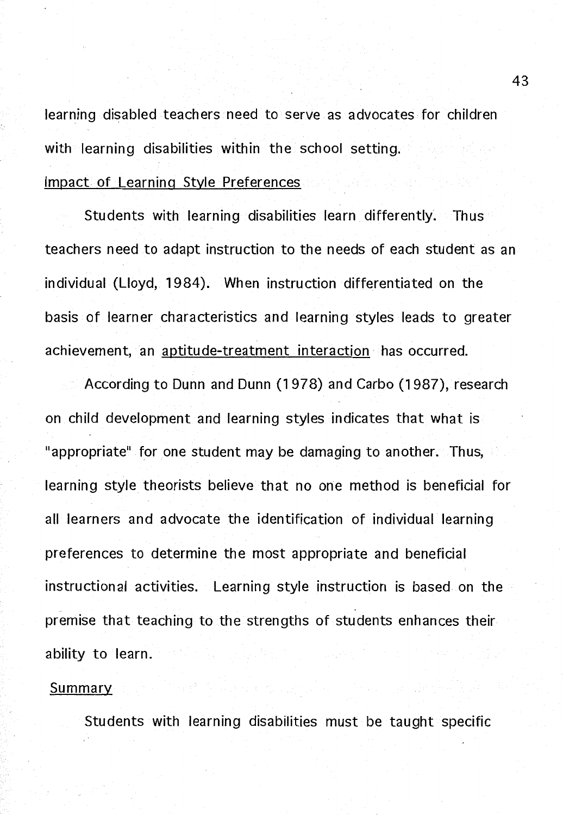learning disabled teachers need to serve as advocates for children with learning disabilities within the school setting. Impact of Learning Style Preferences

Students with learning disabilities learn differently. Thus teachers need to adapt instruction to the needs of each student as an individual (Lloyd, 1984). When instruction differentiated on the basis of learner characteristics and learning styles leads to greater achievement, an aptitude-treatment interaction has occurred.

According to Dunn and Dunn (1978) and Carbo (1987), research on child development and learning styles indicates that what is "appropriate" for one student may be damaging to another. Thus, learning style theorists believe that no one method is beneficial for all learners and advocate the identification of individual learning preferences to determine the most appropriate and beneficial instructional activities. Learning style instruction is based on the premise that teaching to the strengths of students enhances their ability to learn.

#### **Summary**

Students with learning disabilities must be taught specific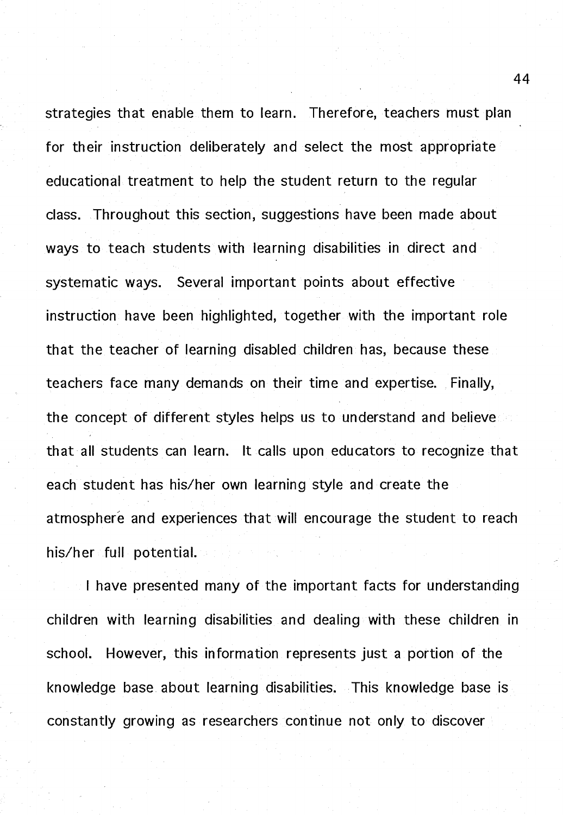strategies that enable them to learn. Therefore, teachers must plan for their instruction deliberately and select the most appropriate educational treatment to help the student return to the regular class. Throughout this section, suggestions have been made about ways to teach students with learning disabilities in direct and systematic ways. Several important points about effective instruction have been highlighted, together with the important role that the teacher of learning disabled children has, because these teachers face many demands on their time and expertise. Finally, the concept of different styles helps us to understand and believe that all students can learn. It calls upon educators to recognize that each student has his/her own learning style and create the atmosphere and experiences that will encourage the student to reach his/her full potential.

I have presented many of the important facts for understanding children with learning disabilities and dealing with these children in school. However, this information represents just a portion of the knowledge base about learning disabilities. This knowledge base is constantly growing as researchers continue not only to discover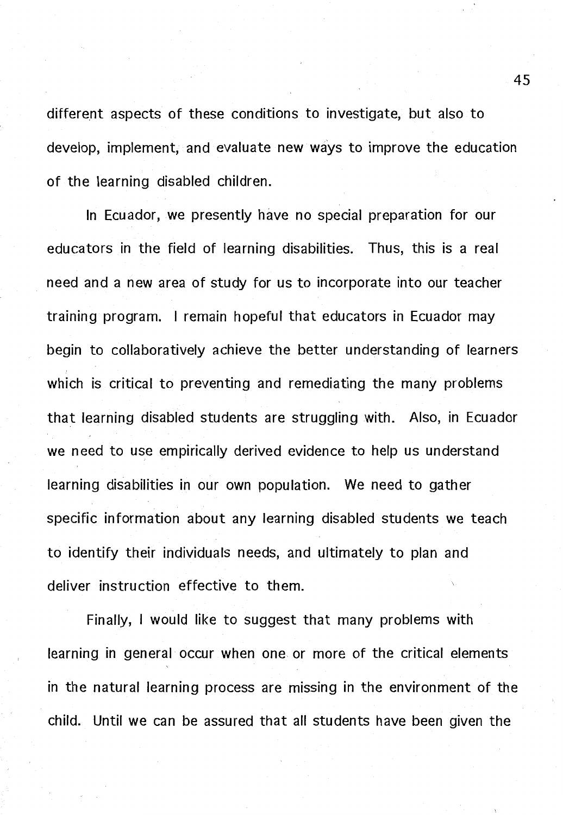different aspects of these conditions to investigate, but also to develop, implement, and evaluate new ways to improve the education of the learning disabled children.

In Ecuador, we presently have no special preparation for our educators in the field of learning disabilities. Thus, this is a real need and a new area of study for us to incorporate into our teacher training program. I remain hopeful that educators in Ecuador may begin to collaboratively achieve the better understanding of learners which is critical to preventing and remediating the many problems that learning disabled students are struggling with. Also, in Ecuador we need to use empirically derived evidence to help us understand learning disabilities in our own population. We need to gather specific information about any learning disabled students we teach to identify their individuals needs, and ultimately to plan and deliver instruction effective to them.

Finally, I would like to suggest that many problems with learning in general occur when one or more of the critical elements in the natural learning process are missing in the environment of the child. Until we can be assured that all students have been given the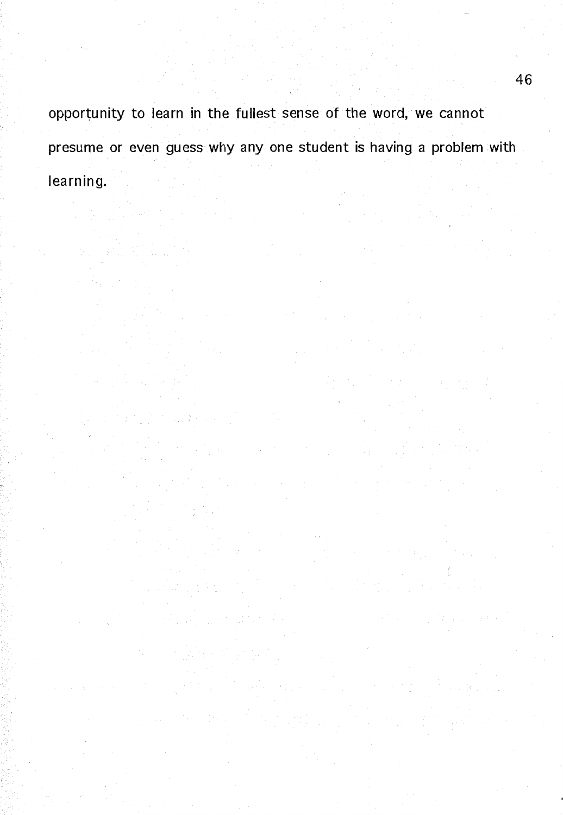opportunity to learn in the fullest sense of the word, we cannot presume or even guess why any one student is having a problem with learning.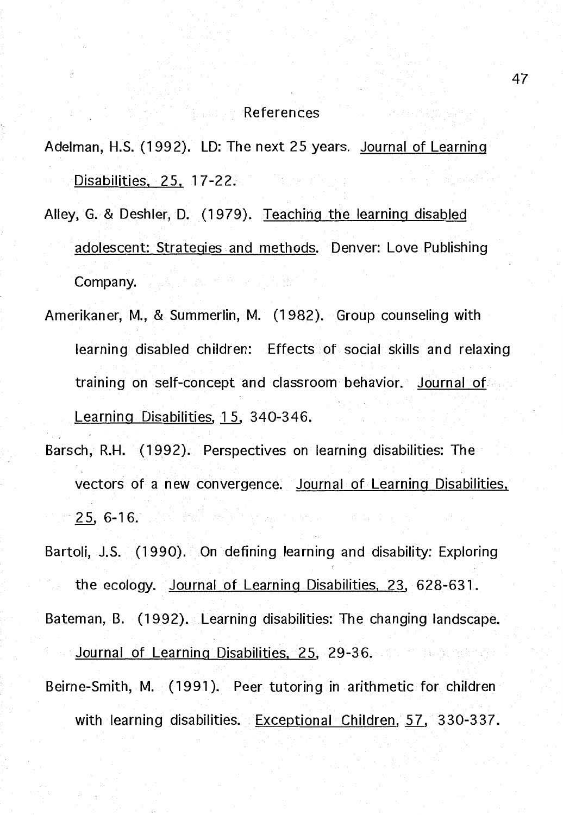#### References

Adelman, H.S. (1992). LD: The next 25 years. Journal of Learning Disabilities. 25. 17-22.

- Alley, G. & Deshler, D. (1979). Teaching the learning disabled adolescent: Strategies. and methods. Denver: Love Publishing Company.
- Amerikaner, M., & Summerlin, M. (1982). Group counseling with learning disabled children: Effects of social skills and relaxing training on self-concept and classroom behavior. Journal of Learning Disabilities, 15, 340-346.
- Barsch, R.H. (1992). Perspectives on learning disabilities: The vectors of a new convergence. Journal of Learning Disabilities. 25, 6-16.

Bartoli, J.S. (1990). On defining learning and disability: Exploring

the ecology. Journal of Learning Disabilities. 23, 628-631. Bateman, B. (1992). Learning disabilities: The changing landscape.

Journal of Learning Disabilities, 25, 29-36. Communications Beirne-Smith, M. (1991 ). Peer tutoring in arithmetic for children with learning disabilities. Exceptional Children, 57, 330-337.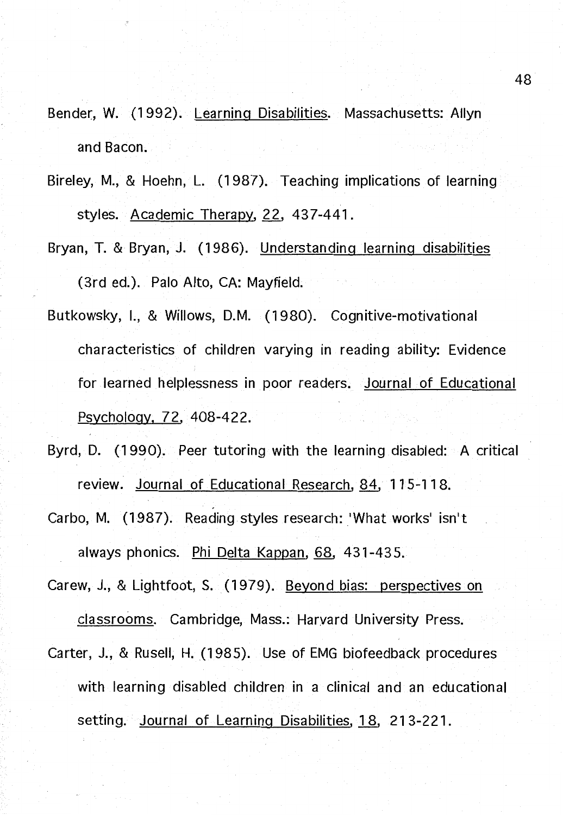- Bender, W. (1992). Learning Disabilities. Massachusetts: Allyn and Bacon.
- Bireley, M., & Hoehn, L. (1987). Teaching implications of learning styles. Academic Therapy, 22, 437-441.
- Bryan, T. & Bryan, J. (1986). Understanding learning disabilities (3rd ed.). Palo Alto, CA: Mayfield.
- Butkowsky, I., & Willows, D.M. (1980). Cognitive-motivational characteristics of children varying in reading ability: Evidence for learned helplessness in poor readers. Journal of Educational Psychology, 72, 408-422.
- Byrd, D. (1990). Peer tutoring with the learning disabled: A critical review. Journal of Educational Research, 84, 115-118.
- Carbo, M. (1987). Reading styles research: 'What works' isn't always phonics. Phi Delta Kappan, 68, 431-43 5.
- Carew, J., & Lightfoot, S. (1979). Beyond bias: perspectives on classrooms. Cambridge, Mass.: Harvard University Press.
- Carter, J., & Rusell, H. (1985). Use of EMG biofeedback procedures with learning disabled children in a clinical and an educational setting. Journal of Learning Disabilities, 1 8, 213-221.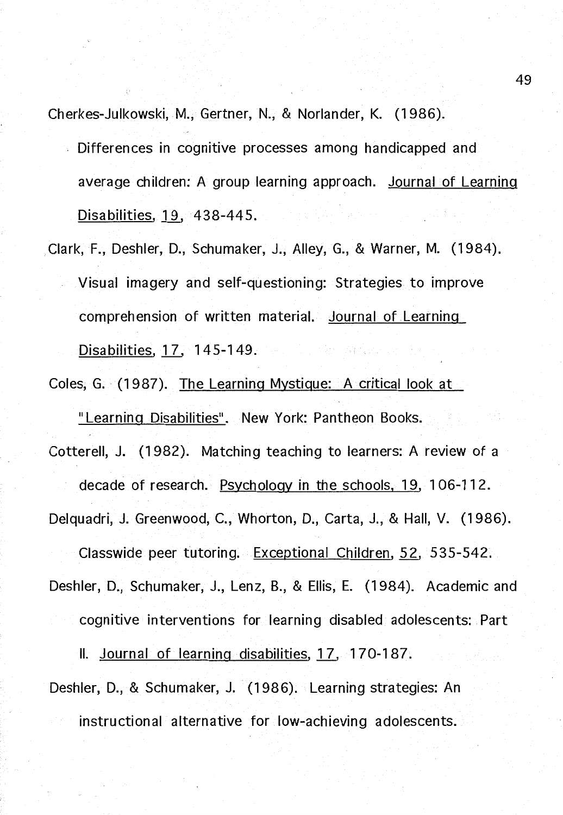Cherkes-Julkowski, M., Gertner, N., & Norlander, K. (1986).

- Differences in cognitive processes among handicapped and average children: A group learning approach. Journal of Learning Disabilities, 19, 438-445.
- Clark, F., Deshler, D., Schumaker, J., Alley, G., & Warner, M. (1984). Visual imagery and self-questioning: Strategies to improve comprehension of written material. Journal of Learning Disabilities, *1L* 145-149.
- Coles, G. (1987). The Learning Mystique: A critical look at "Learning Disabilities". New York: Pantheon Books.

Cotterell, J. (1982). Matching teaching to learners: A review of a

Delquadri, J. Greenwood, C., Whorton, D., Carta, J., & Hall, V. (1986).

decade of research. Psychology in the schools, 19, 1 06-112.

Classwide peer tutoring. Exceptional Children, 52, 535-542.

Deshler, D., Schumaker, J., Lenz, B., & Ellis, E. (1984). Academic and

cognitive interventions for learning disabled adolescents: Part

II. Journal of learning disabilities, 17, 170-187.

Deshler, D., & Schumaker, J. (1986). Learning strategies: An instructional alternative for low-achieving adolescents.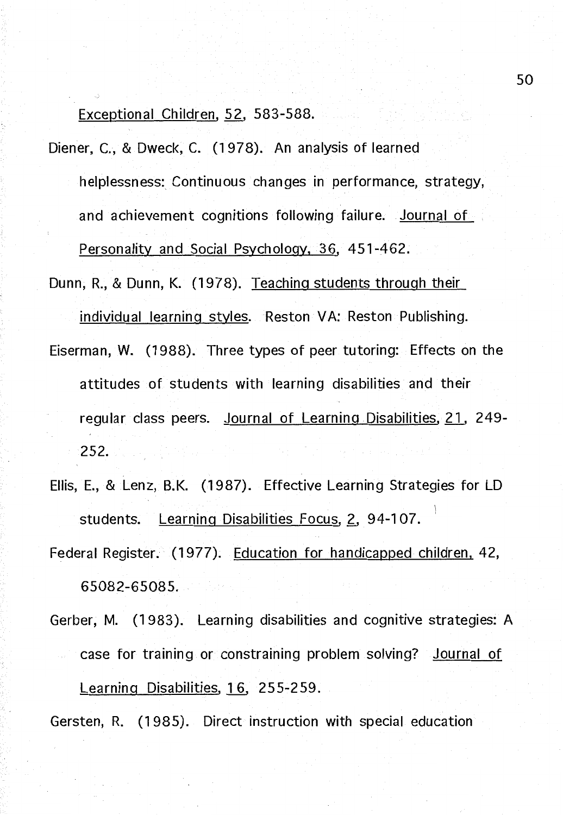Exceptional Children, 52, 583-588.

Diener, C., & Dweck, C. (1978). An analysis of learned helplessness: Continuous changes in performance, strategy, and achievement cognitions following failure. Journal of Personality and Social Psychology, 36, 451-462.

Dunn, R., & Dunn, K. (1978). Teaching students through their individual learning styles. Reston VA: Reston Publishing.

Eiserman, W. (1988). Three types of peer tutoring: Effects on the attitudes of students with learning disabilities and their regular class peers. Journal of Learning. Disabilities, 21. 249- 252.

Ellis, E., & Lenz, B.K. (1987). Effective Learning Strategies for LO \ students. Learning Disabilities Focus, 2, 94-107.

Federal Register. (1977). Education for handicapped children, 42, 65082-65085.

Gerber, M. (1983). Learning disabilities and cognitive strategies: A case for training or constraining problem solving? Journal of Learning Disabilities, 16, 255-259.

Gersten, R. (1985). Direct instruction with special education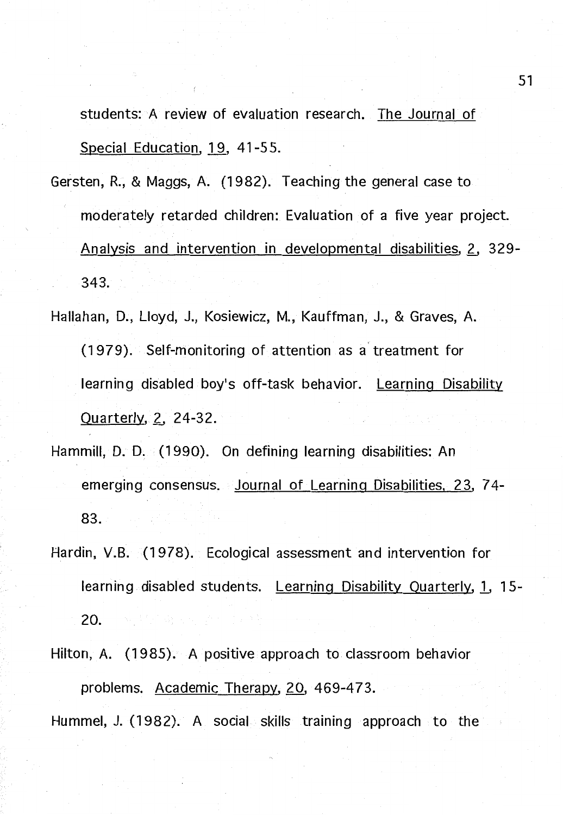students: A review of evaluation research. The Journal of Special Education. 19, 41-55.

Gersten, R., & Maggs. A. (1982). Teaching the general case to moderately retarded children: Evaluation of a five year project. Analysis and intervention in developmental disabilities. 2. 329-343.

Hallahan, D., Lloyd, J., Kosiewicz, M., Kauffman, J., & Graves, A. (1979). Self-monitoring of attention as a' treatment for learning disabled boy's off-task behavior. Learning Disability Quarterly, 2, 24-32.

- Hammill, D. D. (1990). On defining learning disabilities: An emerging consensus. Journal of Learning Disabilities, 23. 7 4- 83.
- Hardin. V.B. (1978). Ecological assessment and intervention for learning disabled students. Learning Disability Quarterly. 1, 15- 20.

Hilton, A. (1985). A positive approach to classroom behavior problems. Academic Therapy, 20, 469-473. Hummel, J. (1982). A social skills training approach to the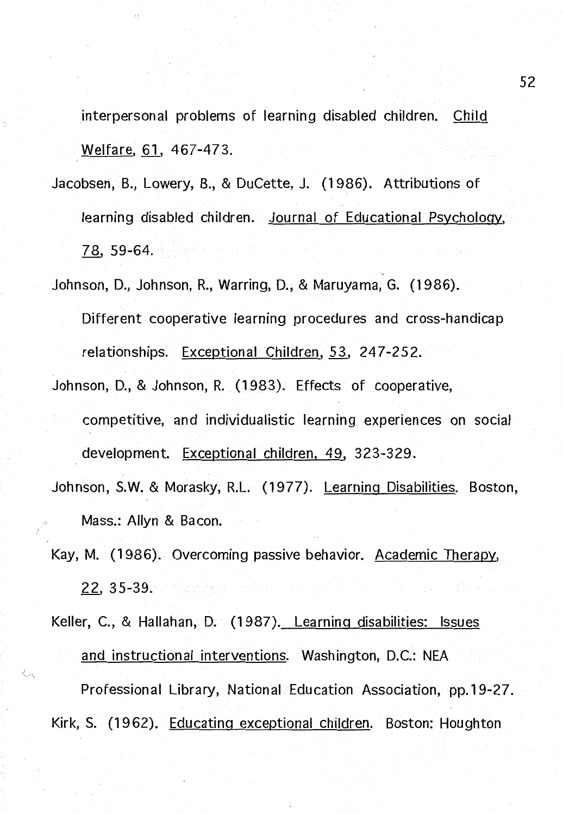interpersonal problems of learning disabled children. Child Welfare, 61, 467-473.

- Jacobsen. B., Lowery. B., & DuCette, J. (1986). Attributions of learning disabled children. Journal of Educational Psychology, 78, 59-64.
- Johnson, D., Johnson, R., Warring, D., & Maruyama, G. (1986). Different cooperative learning procedures and cross-handicap relationships. Exceptional Children, 53. 247-252.
- Johnson, 0., & Johnson. R. (1983). Effects of cooperative, competitive. and individualistic learning experiences on social development. Exceptional children, 49, 323-329.
- Johnson, **S.W.** & Morasky, R.L. (1977). Learning Disabilities. Boston. Mass.: Allyn & Bacon.
- Kay, M. (1986). Overcoming passive behavior. Academic Therapy, 22. 35-39.

Keller, C., & Hallahan, D. (1987). Learning disabilities: Issues and instructional interventions. Washington, D.C.: NEA Professional Library, National Education Association. pp.19-27.

Kirk. S. (1962). Educating exceptional children. Boston: Houghton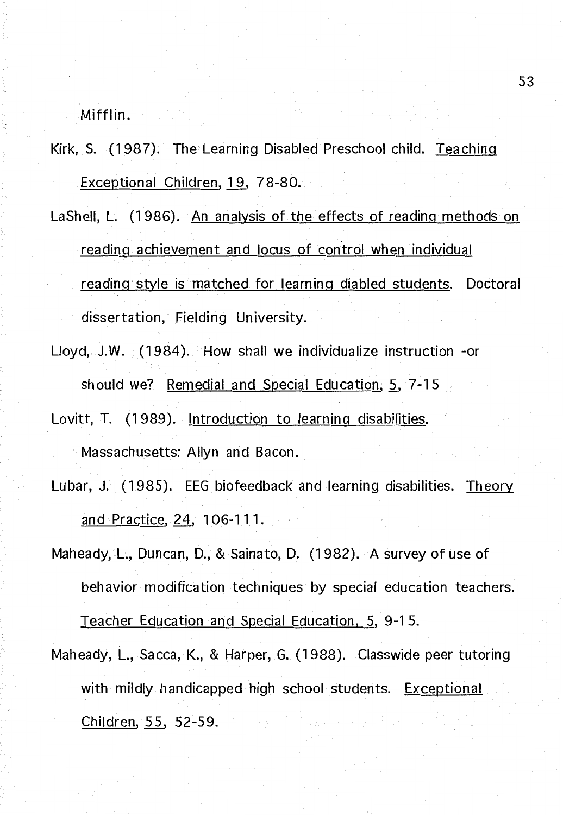Mifflin.

- Kirk, S. (1987). The Learning Disabled Preschool child. Teaching Exceptional Children, 19, 78-80.
- LaShell, L. (1986). An analysis of the effects of reading methods on reading achievement and locus of control when individual reading style is matched for learning diabled students. Doctoral dissertation, Fielding University.
- Lloyd, J.W. (1984). How shall we individualize instruction -or should we? Remedial and Special Education,  $5, 7-15$
- Lovitt, T. (1989). Introduction to learning disabilities. Massachusetts: Allyn and Bacon.
- Lubar, J. (1985). EEG biofeedback and learning disabilities. Theory and Practice, 24, 106-111.
- Maheady, L., Duncan, D., & Sainato, D. (1982). A survey of use of behavior modification techniques by special education teachers. Teacher Education and Special Education, 5, 9-1 5.
- Maheady, L., Sacca, K., & Harper, G. (1988). Classwide peer tutoring with mildly handicapped high school students. Exceptional Children, 55, 52-59.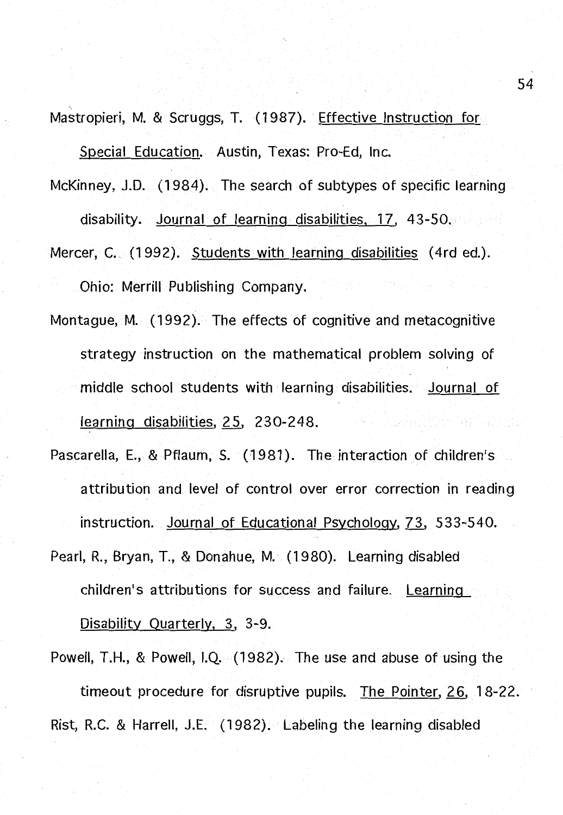Mastropieri, M. & Scruggs, T. (1987). Effective Instruction for Special Education. Austin, Texas: Pro-Ed, Inc.

McKinney, J.D. (1984). The search of subtypes of specific learning

disability. Journal of learning disabilities, 17. 43-50.

- Mercer, C. (1992). Students with learning disabilities (4rd ed.). Ohio: Merrill Publishing Company.
- Montague, M. (1992). The effects of cognitive and metacognitive strategy instruction on the mathematical problem solving of middle school students with learning disabilities. Journal of learning disabilities, 25, 230-248. in e Storie
- Pascarella, E., & Pflaum, S. (1981). The interaction of children's attribution and level of control over error correction in reading instruction. Journal of Educational Psychology, 73, 533-540.
- Pearl. R.. Bryan. T., & Donahue, M. (1980). Learning disabled children's attributions for success and failure. Learning Disability Quarterly, 3, 3-9.
- Powell, T.H., & Powell. I.Q. (1982). The use and abuse of using the timeout procedure for disruptive pupils. The Pointer, 26, 18-22. Rist. R.C. & Harrell, J.E. (1982). Labeling the learning disabled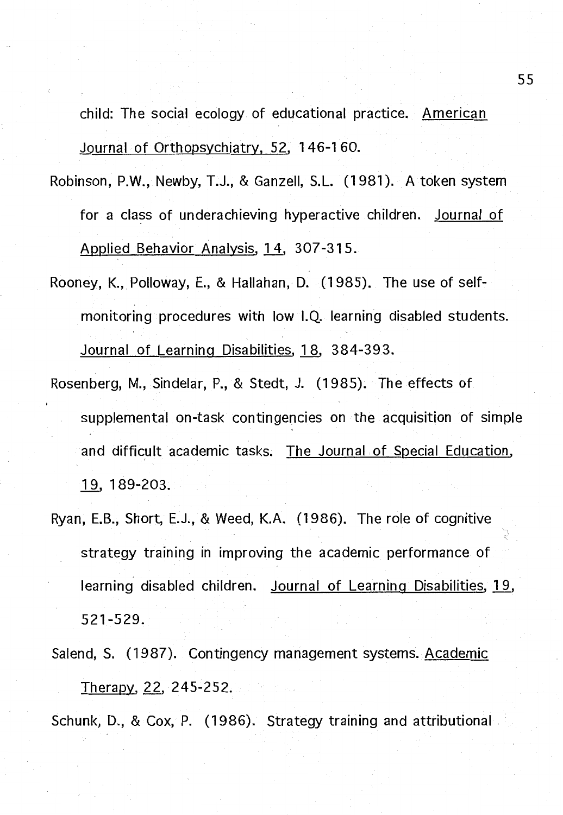child: The social ecology of educational practice. American Journal of Orthopsychiatry, 52, 146-160.

- Robinson, P.W., Newby, T.J., & Ganzell, S.L. (1981 ). A token system for a class of underachieving hyperactive children. Journal of Applied Behavior Analysis, 14, 307-315.
- Rooney, K., Polloway, E., & Hallahan, D. (1985). The use of selfmonitoring procedures with low 1.Q. learning disabled students. Journal of Learning Disabilities, 18, 384-393.
- Rosenberg, M., Sindelar, P., & Stedt, J. (1985). The effects of supplemental on-task contingencies on the acquisition of simple and difficult academic tasks. The Journal of Special Education, 19, 189-203.
- Ryan, E.B., Short, E.J., & Weed, K.A. (1986). The role of cognitive strategy training in improving the academic performance of learning disabled children. Journal of Learning Disabilities, 19, 521-529.
- Salend, S. (1987). Contingency management systems. Academic Therapy, 22, 245-252.

Schunk, D., & Cox, P. (1986). Strategy training and attributional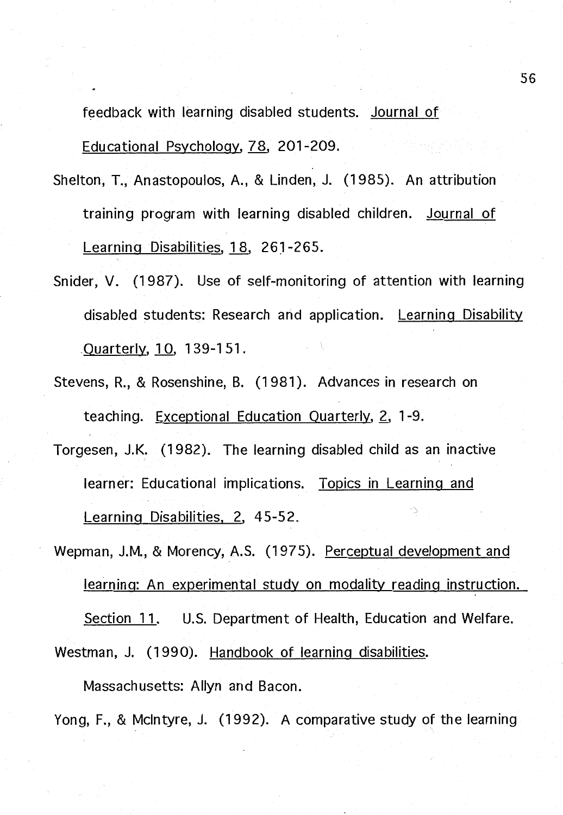feedback with learning disabled students. Journal of Educational Psychology, 78, 201-209.

- Shelton, T., Anastopoulos, A., & Linden, J. (1985). An attribution training program with learning disabled children. Journal of Learning Disabilities, 18, 261-265.
- Snider, V. (1987). Use of self-monitoring of attention with learning disabled students: Research and application. Learning Disability .Quarterly. 1 0, 1 39-1 51.
- Stevens, R., & Rosenshine, B. (1981 ). Advances in research on teaching. Exceptional Education Quarterly, 2, 1-9.
- Torgesen, J.K. (1982). The learning disabled child as an inactive learner: Educational implications. Topics in Learning and Learning Disabilities, 2, 45-52.
- Wepman, J.M., & Morency, A.S. (1975). Perceptual development and learning: An experimental study on modality reading instruction. Section 11. U.S. Department of Health, Education and Welfare. Westman, J. (1990). Handbook of learning disabilities.

Massachusetts: Allyn and Bacon.

Yong, F., & McIntyre, J. (1992). A comparative study of the learning